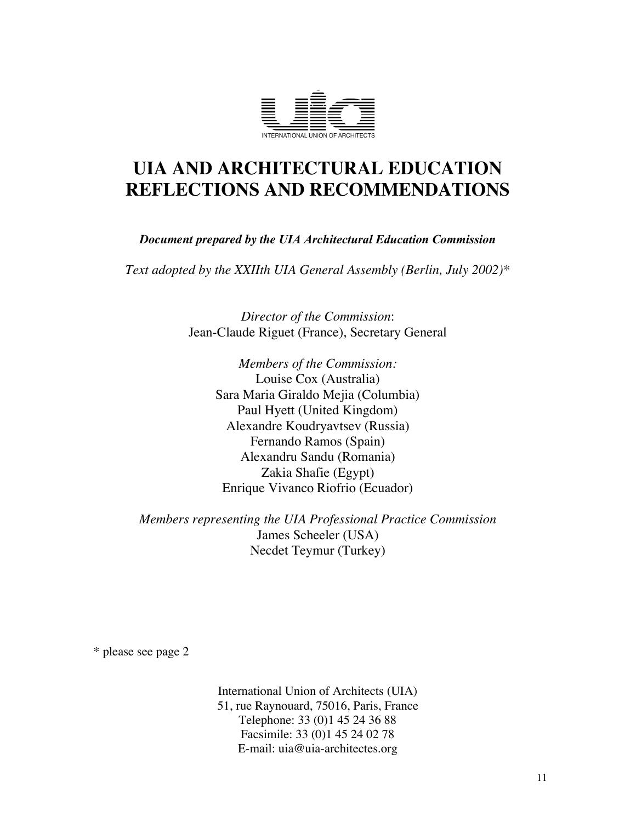

# **UIA AND ARCHITECTURAL EDUCATION REFLECTIONS AND RECOMMENDATIONS**

*Document prepared by the UIA Architectural Education Commission*

*Text adopted by the XXIIth UIA General Assembly (Berlin, July 2002)\**

*Director of the Commission*: Jean-Claude Riguet (France), Secretary General

> *Members of the Commission:* Louise Cox (Australia) Sara Maria Giraldo Mejia (Columbia) Paul Hyett (United Kingdom) Alexandre Koudryavtsev (Russia) Fernando Ramos (Spain) Alexandru Sandu (Romania) Zakia Shafie (Egypt) Enrique Vivanco Riofrio (Ecuador)

*Members representing the UIA Professional Practice Commission* James Scheeler (USA) Necdet Teymur (Turkey)

\* please see page 2

International Union of Architects (UIA) 51, rue Raynouard, 75016, Paris, France Telephone: 33 (0)1 45 24 36 88 Facsimile: 33 (0)1 45 24 02 78 E-mail: uia@uia-architectes.org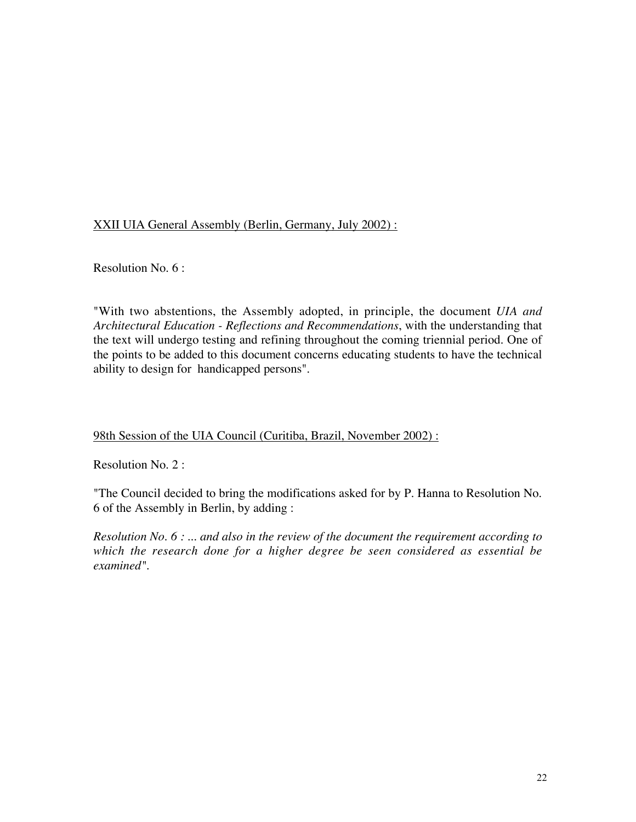XXII UIA General Assembly (Berlin, Germany, July 2002) :

Resolution No. 6 :

"With two abstentions, the Assembly adopted, in principle, the document *UIA and Architectural Education - Reflections and Recommendations*, with the understanding that the text will undergo testing and refining throughout the coming triennial period. One of the points to be added to this document concerns educating students to have the technical ability to design for handicapped persons".

# 98th Session of the UIA Council (Curitiba, Brazil, November 2002) :

Resolution No. 2 :

"The Council decided to bring the modifications asked for by P. Hanna to Resolution No. 6 of the Assembly in Berlin, by adding :

*Resolution No. 6 : ... and also in the review of the document the requirement according to which the research done for a higher degree be seen considered as essential be examined".*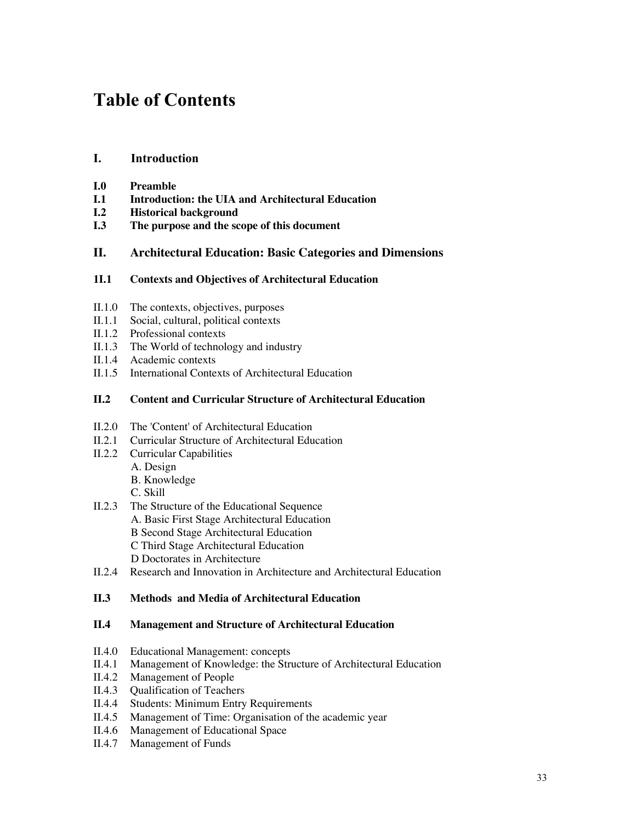# Table of Contents

## I. Introduction

- **I.0 Preamble**
- **I.1 Introduction: the UIA and Architectural Education**
- **I.2 Historical background**
- **I.3 The purpose and the scope of this document**

### **II. Architectural Education: Basic Categories and Dimensions**

#### **1I.1 Contexts and Objectives of Architectural Education**

- II.1.0 The contexts, objectives, purposes
- II.1.1 Social, cultural, political contexts
- II.1.2 Professional contexts
- II.1.3 The World of technology and industry
- II.1.4 Academic contexts
- II.1.5 International Contexts of Architectural Education

#### **II.2 Content and Curricular Structure of Architectural Education**

- II.2.0 The 'Content' of Architectural Education
- II.2.1 Curricular Structure of Architectural Education
- II.2.2 Curricular Capabilities
	- A. Design
	- B. Knowledge
	- C. Skill
- II.2.3 The Structure of the Educational Sequence A. Basic First Stage Architectural Education B Second Stage Architectural Education C Third Stage Architectural Education D Doctorates in Architecture
- II.2.4 Research and Innovation in Architecture and Architectural Education

#### **II.3 Methods and Media of Architectural Education**

#### **II.4 Management and Structure of Architectural Education**

- II.4.0 Educational Management: concepts<br>II.4.1 Management of Knowledge: the Stru
- Management of Knowledge: the Structure of Architectural Education
- II.4.2 Management of People
- II.4.3 Qualification of Teachers
- II.4.4 Students: Minimum Entry Requirements
- II.4.5 Management of Time: Organisation of the academic year
- II.4.6 Management of Educational Space
- II.4.7 Management of Funds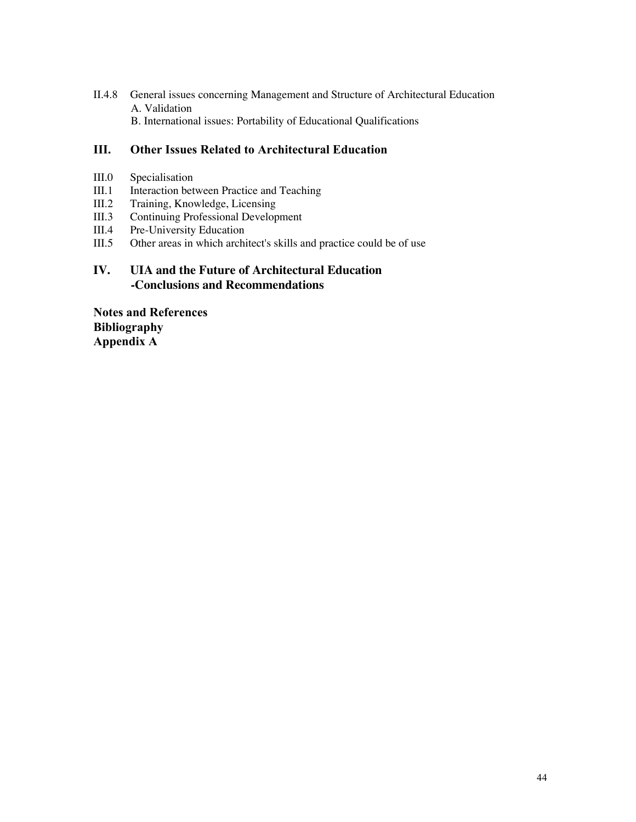II.4.8 General issues concerning Management and Structure of Architectural Education A. Validation B. International issues: Portability of Educational Qualifications

# III. Other Issues Related to Architectural Education

- III.0 Specialisation
- III.1 Interaction between Practice and Teaching
- III.2 Training, Knowledge, Licensing
- III.3 Continuing Professional Development<br>III.4 Pre-University Education
- III.4 Pre-University Education<br>III.5 Other areas in which archi
- Other areas in which architect's skills and practice could be of use

# **IV. UIA and the Future of Architectural Education -Conclusions and Recommendations**

Notes and References Bibliography Appendix A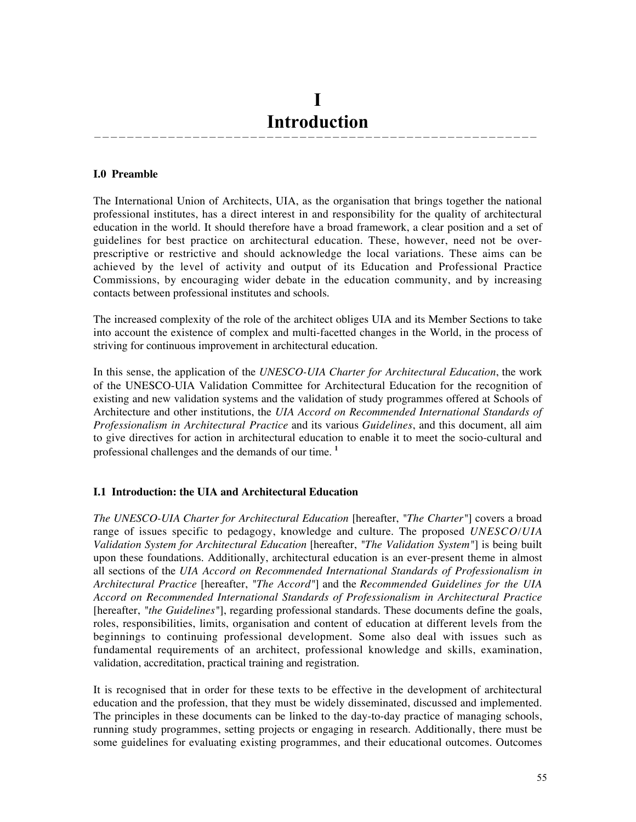# I Introduction

——————————————————————————————————————————————————————

#### **I.0 Preamble**

The International Union of Architects, UIA, as the organisation that brings together the national professional institutes, has a direct interest in and responsibility for the quality of architectural education in the world. It should therefore have a broad framework, a clear position and a set of guidelines for best practice on architectural education. These, however, need not be overprescriptive or restrictive and should acknowledge the local variations. These aims can be achieved by the level of activity and output of its Education and Professional Practice Commissions, by encouraging wider debate in the education community, and by increasing contacts between professional institutes and schools.

The increased complexity of the role of the architect obliges UIA and its Member Sections to take into account the existence of complex and multi-facetted changes in the World, in the process of striving for continuous improvement in architectural education.

In this sense, the application of the *UNESCO-UIA Charter for Architectural Education*, the work of the UNESCO-UIA Validation Committee for Architectural Education for the recognition of existing and new validation systems and the validation of study programmes offered at Schools of Architecture and other institutions, the *UIA Accord on Recommended International Standards of Professionalism in Architectural Practice* and its various *Guidelines*, and this document, all aim to give directives for action in architectural education to enable it to meet the socio-cultural and professional challenges and the demands of our time. **<sup>1</sup>**

# **I.1 Introduction: the UIA and Architectural Education**

*The UNESCO-UIA Charter for Architectural Education* [hereafter, *"The Charter"*] covers a broad range of issues specific to pedagogy, knowledge and culture. The proposed *UNESCO/UIA Validation System for Architectural Education* [hereafter, *"The Validation System"*] is being built upon these foundations. Additionally, architectural education is an ever-present theme in almost all sections of the *UIA Accord on Recommended International Standards of Professionalism in Architectural Practice* [hereafter, *"The Accord"*] and the *Recommended Guidelines for the UIA Accord on Recommended International Standards of Professionalism in Architectural Practice* [hereafter, *"the Guidelines"*], regarding professional standards. These documents define the goals, roles, responsibilities, limits, organisation and content of education at different levels from the beginnings to continuing professional development. Some also deal with issues such as fundamental requirements of an architect, professional knowledge and skills, examination, validation, accreditation, practical training and registration.

It is recognised that in order for these texts to be effective in the development of architectural education and the profession, that they must be widely disseminated, discussed and implemented. The principles in these documents can be linked to the day-to-day practice of managing schools, running study programmes, setting projects or engaging in research. Additionally, there must be some guidelines for evaluating existing programmes, and their educational outcomes. Outcomes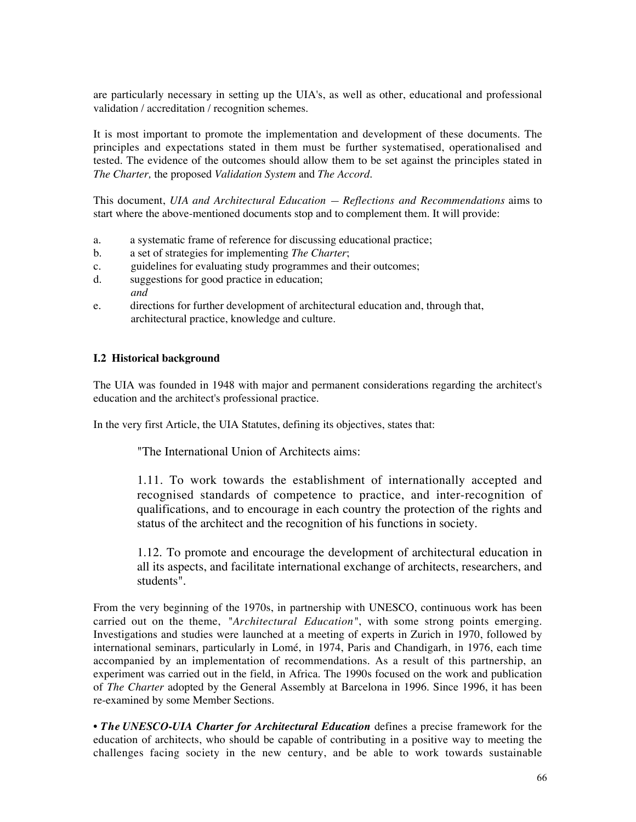are particularly necessary in setting up the UIA's, as well as other, educational and professional validation / accreditation / recognition schemes.

It is most important to promote the implementation and development of these documents. The principles and expectations stated in them must be further systematised, operationalised and tested. The evidence of the outcomes should allow them to be set against the principles stated in *The Charter,* the proposed *Validation System* and *The Accord*.

This document, *UIA and Architectural Education — Reflections and Recommendations* aims to start where the above-mentioned documents stop and to complement them. It will provide:

- a. a systematic frame of reference for discussing educational practice;
- b. a set of strategies for implementing *The Charter*;
- c. guidelines for evaluating study programmes and their outcomes;
- d. suggestions for good practice in education; *and*
- e. directions for further development of architectural education and, through that, architectural practice, knowledge and culture.

#### **I.2 Historical background**

The UIA was founded in 1948 with major and permanent considerations regarding the architect's education and the architect's professional practice.

In the very first Article, the UIA Statutes, defining its objectives, states that:

"The International Union of Architects aims:

1.11. To work towards the establishment of internationally accepted and recognised standards of competence to practice, and inter-recognition of qualifications, and to encourage in each country the protection of the rights and status of the architect and the recognition of his functions in society.

1.12. To promote and encourage the development of architectural education in all its aspects, and facilitate international exchange of architects, researchers, and students".

From the very beginning of the 1970s, in partnership with UNESCO, continuous work has been carried out on the theme, *"Architectural Education"*, with some strong points emerging. Investigations and studies were launched at a meeting of experts in Zurich in 1970, followed by international seminars, particularly in Lomé, in 1974, Paris and Chandigarh, in 1976, each time accompanied by an implementation of recommendations. As a result of this partnership, an experiment was carried out in the field, in Africa. The 1990s focused on the work and publication of *The Charter* adopted by the General Assembly at Barcelona in 1996. Since 1996, it has been re-examined by some Member Sections.

• *The UNESCO-UIA Charter for Architectural Education* defines a precise framework for the education of architects, who should be capable of contributing in a positive way to meeting the challenges facing society in the new century, and be able to work towards sustainable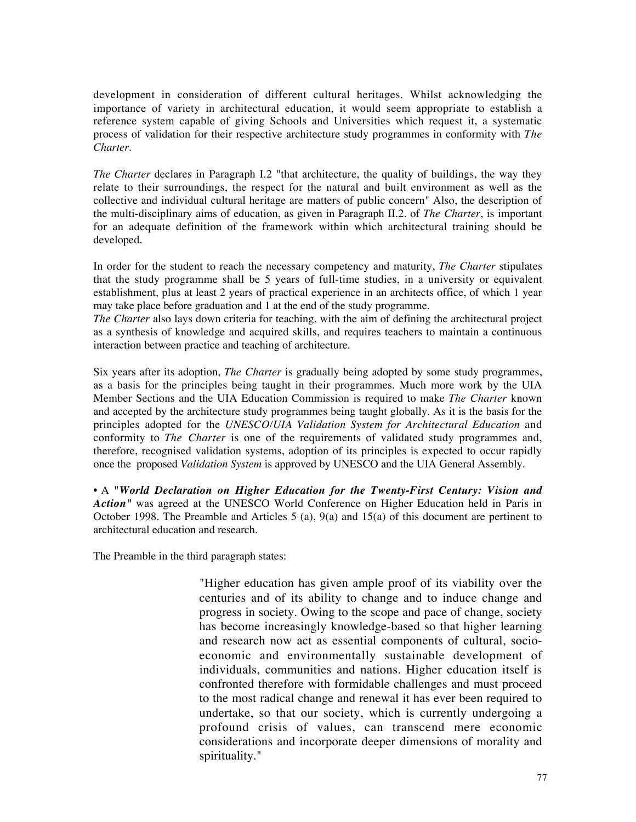development in consideration of different cultural heritages. Whilst acknowledging the importance of variety in architectural education, it would seem appropriate to establish a reference system capable of giving Schools and Universities which request it, a systematic process of validation for their respective architecture study programmes in conformity with *The Charter.*

*The Charter* declares in Paragraph I.2 "that architecture, the quality of buildings, the way they relate to their surroundings, the respect for the natural and built environment as well as the collective and individual cultural heritage are matters of public concern" Also, the description of the multi-disciplinary aims of education, as given in Paragraph II.2. of *The Charter*, is important for an adequate definition of the framework within which architectural training should be developed.

In order for the student to reach the necessary competency and maturity, *The Charter* stipulates that the study programme shall be 5 years of full-time studies, in a university or equivalent establishment, plus at least 2 years of practical experience in an architects office, of which 1 year may take place before graduation and 1 at the end of the study programme.

*The Charter* also lays down criteria for teaching, with the aim of defining the architectural project as a synthesis of knowledge and acquired skills, and requires teachers to maintain a continuous interaction between practice and teaching of architecture.

Six years after its adoption, *The Charter* is gradually being adopted by some study programmes, as a basis for the principles being taught in their programmes. Much more work by the UIA Member Sections and the UIA Education Commission is required to make *The Charter* known and accepted by the architecture study programmes being taught globally. As it is the basis for the principles adopted for the *UNESCO/UIA Validation System for Architectural Education* and conformity to *The Charter* is one of the requirements of validated study programmes and, therefore, recognised validation systems, adoption of its principles is expected to occur rapidly once the proposed *Validation System* is approved by UNESCO and the UIA General Assembly.

• A *"World Declaration on Higher Education for the Twenty-First Century: Vision and Action"* was agreed at the UNESCO World Conference on Higher Education held in Paris in October 1998. The Preamble and Articles 5 (a), 9(a) and 15(a) of this document are pertinent to architectural education and research.

The Preamble in the third paragraph states:

"Higher education has given ample proof of its viability over the centuries and of its ability to change and to induce change and progress in society. Owing to the scope and pace of change, society has become increasingly knowledge-based so that higher learning and research now act as essential components of cultural, socioeconomic and environmentally sustainable development of individuals, communities and nations. Higher education itself is confronted therefore with formidable challenges and must proceed to the most radical change and renewal it has ever been required to undertake, so that our society, which is currently undergoing a profound crisis of values, can transcend mere economic considerations and incorporate deeper dimensions of morality and spirituality."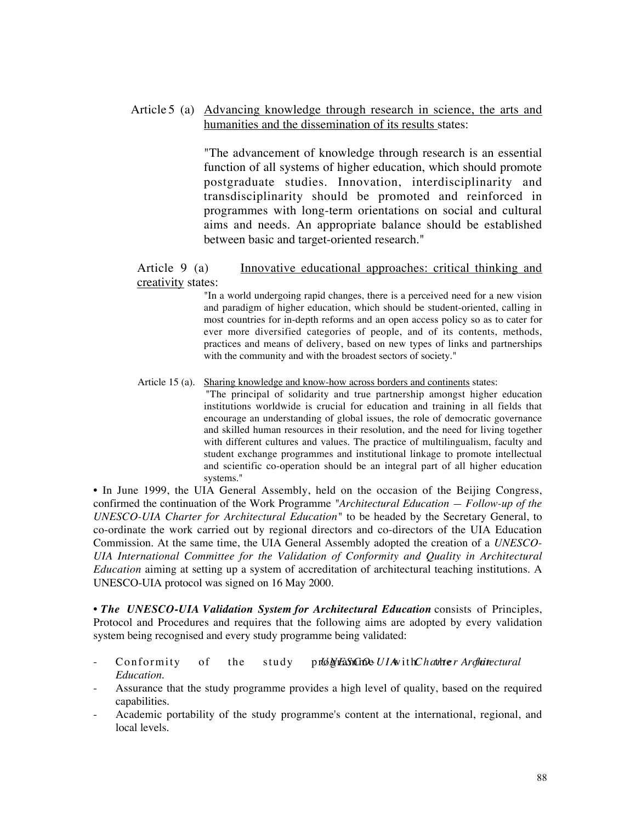# Article 5 (a) Advancing knowledge through research in science, the arts and humanities and the dissemination of its results states:

"The advancement of knowledge through research is an essential function of all systems of higher education, which should promote postgraduate studies. Innovation, interdisciplinarity and transdisciplinarity should be promoted and reinforced in programmes with long-term orientations on social and cultural aims and needs. An appropriate balance should be established between basic and target-oriented research."

### Article 9 (a) Innovative educational approaches: critical thinking and creativity states:

"In a world undergoing rapid changes, there is a perceived need for a new vision and paradigm of higher education, which should be student-oriented, calling in most countries for in-depth reforms and an open access policy so as to cater for ever more diversified categories of people, and of its contents, methods, practices and means of delivery, based on new types of links and partnerships with the community and with the broadest sectors of society."

#### Article 15 (a). Sharing knowledge and know-how across borders and continents states:

"The principal of solidarity and true partnership amongst higher education institutions worldwide is crucial for education and training in all fields that encourage an understanding of global issues, the role of democratic governance and skilled human resources in their resolution, and the need for living together with different cultures and values. The practice of multilingualism, faculty and student exchange programmes and institutional linkage to promote intellectual and scientific co-operation should be an integral part of all higher education systems."

• In June 1999, the UIA General Assembly, held on the occasion of the Beijing Congress, confirmed the continuation of the Work Programme *"Architectural Education — Follow-up of the UNESCO-UIA Charter for Architectural Education"* to be headed by the Secretary General, to co-ordinate the work carried out by regional directors and co-directors of the UIA Education Commission. At the same time, the UIA General Assembly adopted the creation of a *UNESCO-UIA International Committee for the Validation of Conformity and Quality in Architectural Education* aiming at setting up a system of accreditation of architectural teaching institutions. A UNESCO-UIA protocol was signed on 16 May 2000.

**•** *The UNESCO-UIA Validation System for Architectural Education* consists of Principles, Protocol and Procedures and requires that the following aims are adopted by every validation system being recognised and every study programme being validated:

- Conformity of the study programme *UIA* with *Charter Arghitectural Education.*
- Assurance that the study programme provides a high level of quality, based on the required capabilities.
- Academic portability of the study programme's content at the international, regional, and local levels.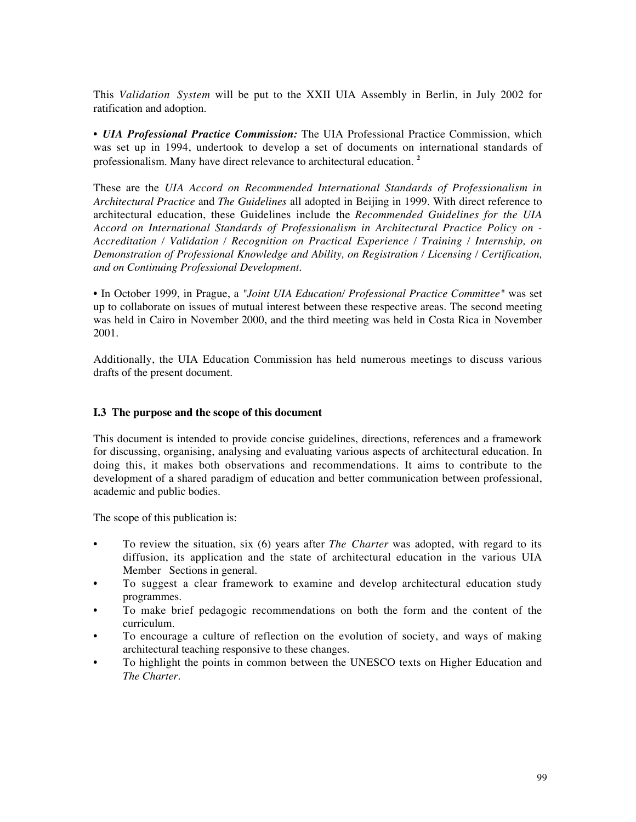This *Validation System* will be put to the XXII UIA Assembly in Berlin, in July 2002 for ratification and adoption.

• *UIA Professional Practice Commission:* The UIA Professional Practice Commission, which was set up in 1994, undertook to develop a set of documents on international standards of professionalism. Many have direct relevance to architectural education. **<sup>2</sup>**

These are the *UIA Accord on Recommended International Standards of Professionalism in Architectural Practice* and *The Guidelines* all adopted in Beijing in 1999. With direct reference to architectural education, these Guidelines include the *Recommended Guidelines for the UIA Accord on International Standards of Professionalism in Architectural Practice Policy on - Accreditation / Validation / Recognition on Practical Experience / Training / Internship, on Demonstration of Professional Knowledge and Ability, on Registration / Licensing / Certification, and on Continuing Professional Development.*

• In October 1999, in Prague, a *"Joint UIA Education/ Professional Practice Committee"* was set up to collaborate on issues of mutual interest between these respective areas. The second meeting was held in Cairo in November 2000, and the third meeting was held in Costa Rica in November 2001.

Additionally, the UIA Education Commission has held numerous meetings to discuss various drafts of the present document.

#### **I.3 The purpose and the scope of this document**

This document is intended to provide concise guidelines, directions, references and a framework for discussing, organising, analysing and evaluating various aspects of architectural education. In doing this, it makes both observations and recommendations. It aims to contribute to the development of a shared paradigm of education and better communication between professional, academic and public bodies.

The scope of this publication is:

- To review the situation, six (6) years after *The Charter* was adopted, with regard to its diffusion, its application and the state of architectural education in the various UIA Member Sections in general.
- To suggest a clear framework to examine and develop architectural education study programmes.
- To make brief pedagogic recommendations on both the form and the content of the curriculum.
- To encourage a culture of reflection on the evolution of society, and ways of making architectural teaching responsive to these changes.
- To highlight the points in common between the UNESCO texts on Higher Education and *The Charter*.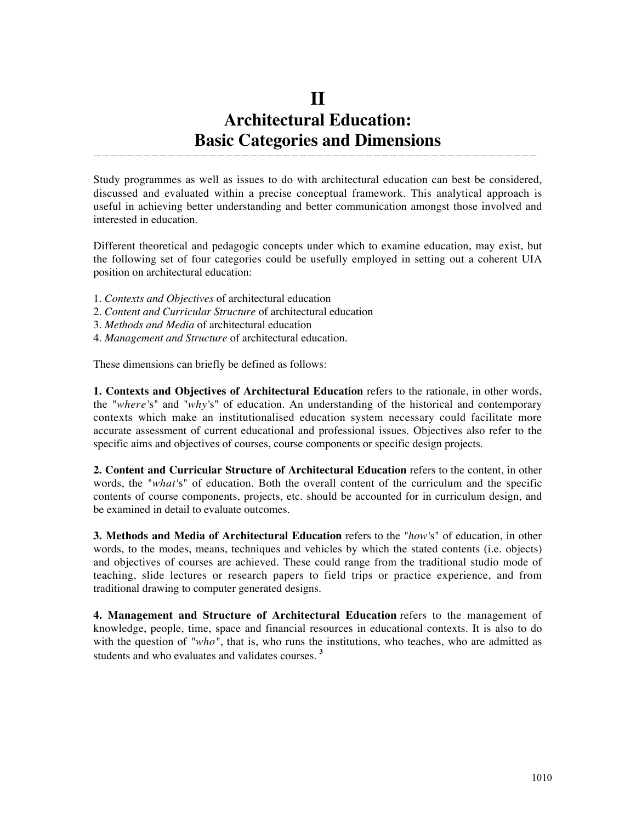# **II Architectural Education: Basic Categories and Dimensions**

——————————————————————————————————————————————————————

Study programmes as well as issues to do with architectural education can best be considered, discussed and evaluated within a precise conceptual framework. This analytical approach is useful in achieving better understanding and better communication amongst those involved and interested in education.

Different theoretical and pedagogic concepts under which to examine education, may exist, but the following set of four categories could be usefully employed in setting out a coherent UIA position on architectural education:

- 1. *Contexts and Objectives* of architectural education
- 2. *Content and Curricular Structure* of architectural education
- 3. *Methods and Media* of architectural education
- 4. *Management and Structure* of architectural education.

These dimensions can briefly be defined as follows:

**1. Contexts and Objectives of Architectural Education** refers to the rationale, in other words, the *"where'*s" and *"why'*s" of education. An understanding of the historical and contemporary contexts which make an institutionalised education system necessary could facilitate more accurate assessment of current educational and professional issues. Objectives also refer to the specific aims and objectives of courses, course components or specific design projects.

**2. Content and Curricular Structure of Architectural Education** refers to the content, in other words, the *"what'*s" of education. Both the overall content of the curriculum and the specific contents of course components, projects, etc. should be accounted for in curriculum design, and be examined in detail to evaluate outcomes.

**3. Methods and Media of Architectural Education** refers to the *"how'*s" of education, in other words, to the modes, means, techniques and vehicles by which the stated contents (i.e. objects) and objectives of courses are achieved. These could range from the traditional studio mode of teaching, slide lectures or research papers to field trips or practice experience, and from traditional drawing to computer generated designs.

**4. Management and Structure of Architectural Education** refers to the management of knowledge, people, time, space and financial resources in educational contexts. It is also to do with the question of "who", that is, who runs the institutions, who teaches, who are admitted as students and who evaluates and validates courses. **<sup>3</sup>**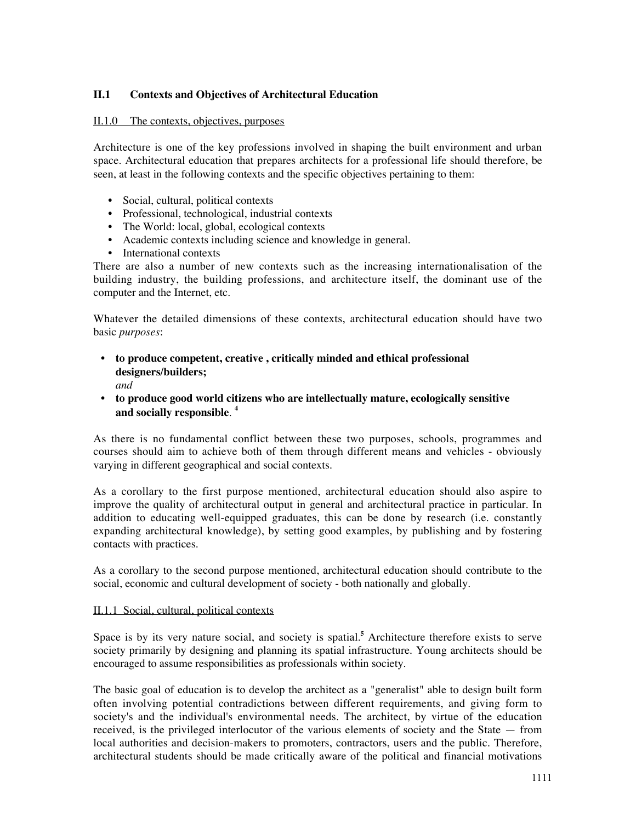### **II.1 Contexts and Objectives of Architectural Education**

#### II.1.0 The contexts, objectives, purposes

Architecture is one of the key professions involved in shaping the built environment and urban space. Architectural education that prepares architects for a professional life should therefore, be seen, at least in the following contexts and the specific objectives pertaining to them:

- Social, cultural, political contexts
- Professional, technological, industrial contexts
- The World: local, global, ecological contexts
- Academic contexts including science and knowledge in general.
- International contexts

There are also a number of new contexts such as the increasing internationalisation of the building industry, the building professions, and architecture itself, the dominant use of the computer and the Internet, etc.

Whatever the detailed dimensions of these contexts, architectural education should have two basic *purposes*:

• **to produce competent, creative , critically minded and ethical professional designers/builders;**

*and*

• **to produce good world citizens who are intellectually mature, ecologically sensitive and socially responsible**. **<sup>4</sup>**

As there is no fundamental conflict between these two purposes, schools, programmes and courses should aim to achieve both of them through different means and vehicles - obviously varying in different geographical and social contexts.

As a corollary to the first purpose mentioned, architectural education should also aspire to improve the quality of architectural output in general and architectural practice in particular. In addition to educating well-equipped graduates, this can be done by research (i.e. constantly expanding architectural knowledge), by setting good examples, by publishing and by fostering contacts with practices.

As a corollary to the second purpose mentioned, architectural education should contribute to the social, economic and cultural development of society - both nationally and globally.

#### II.1.1 Social, cultural, political contexts

Space is by its very nature social, and society is spatial.**<sup>5</sup>** Architecture therefore exists to serve society primarily by designing and planning its spatial infrastructure. Young architects should be encouraged to assume responsibilities as professionals within society.

The basic goal of education is to develop the architect as a "generalist" able to design built form often involving potential contradictions between different requirements, and giving form to society's and the individual's environmental needs. The architect, by virtue of the education received, is the privileged interlocutor of the various elements of society and the State — from local authorities and decision-makers to promoters, contractors, users and the public. Therefore, architectural students should be made critically aware of the political and financial motivations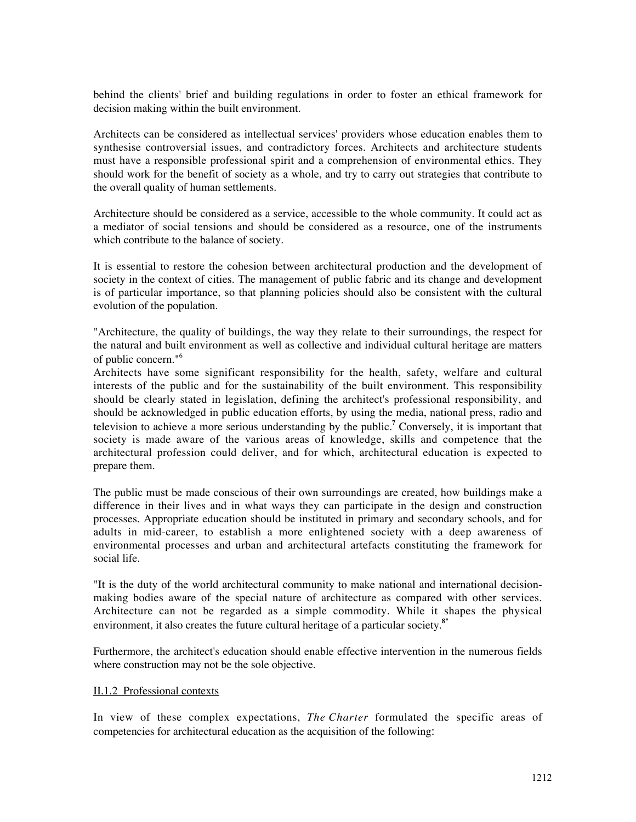behind the clients' brief and building regulations in order to foster an ethical framework for decision making within the built environment.

Architects can be considered as intellectual services' providers whose education enables them to synthesise controversial issues, and contradictory forces. Architects and architecture students must have a responsible professional spirit and a comprehension of environmental ethics. They should work for the benefit of society as a whole, and try to carry out strategies that contribute to the overall quality of human settlements.

Architecture should be considered as a service, accessible to the whole community. It could act as a mediator of social tensions and should be considered as a resource, one of the instruments which contribute to the balance of society.

It is essential to restore the cohesion between architectural production and the development of society in the context of cities. The management of public fabric and its change and development is of particular importance, so that planning policies should also be consistent with the cultural evolution of the population.

"Architecture, the quality of buildings, the way they relate to their surroundings, the respect for the natural and built environment as well as collective and individual cultural heritage are matters of public concern."6

Architects have some significant responsibility for the health, safety, welfare and cultural interests of the public and for the sustainability of the built environment. This responsibility should be clearly stated in legislation, defining the architect's professional responsibility, and should be acknowledged in public education efforts, by using the media, national press, radio and television to achieve a more serious understanding by the public.**<sup>7</sup>** Conversely, it is important that society is made aware of the various areas of knowledge, skills and competence that the architectural profession could deliver, and for which, architectural education is expected to prepare them.

The public must be made conscious of their own surroundings are created, how buildings make a difference in their lives and in what ways they can participate in the design and construction processes. Appropriate education should be instituted in primary and secondary schools, and for adults in mid-career, to establish a more enlightened society with a deep awareness of environmental processes and urban and architectural artefacts constituting the framework for social life.

"It is the duty of the world architectural community to make national and international decisionmaking bodies aware of the special nature of architecture as compared with other services. Architecture can not be regarded as a simple commodity. While it shapes the physical environment, it also creates the future cultural heritage of a particular society.**8"**

Furthermore, the architect's education should enable effective intervention in the numerous fields where construction may not be the sole objective.

#### II.1.2 Professional contexts

In view of these complex expectations, *The Charter* formulated the specific areas of competencies for architectural education as the acquisition of the following: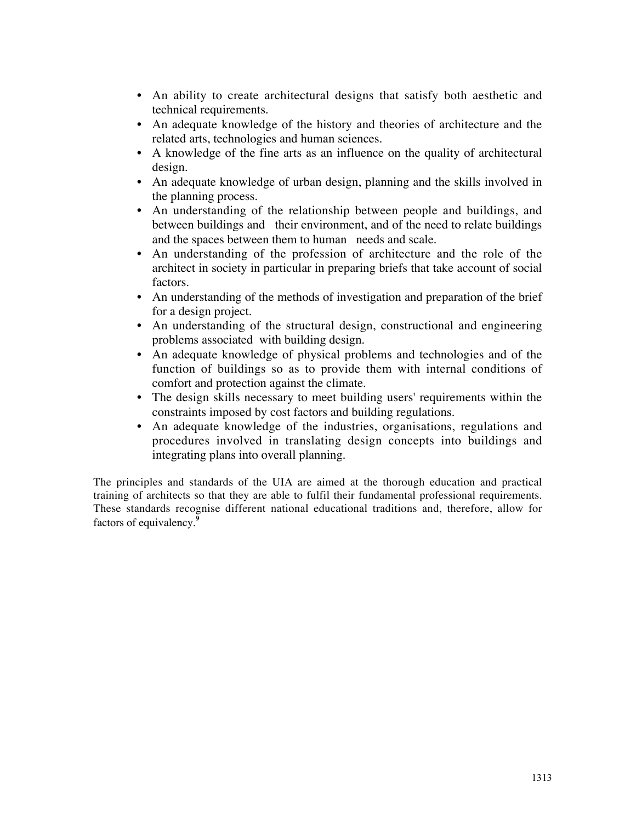- An ability to create architectural designs that satisfy both aesthetic and technical requirements.
- An adequate knowledge of the history and theories of architecture and the related arts, technologies and human sciences.
- A knowledge of the fine arts as an influence on the quality of architectural design.
- An adequate knowledge of urban design, planning and the skills involved in the planning process.
- An understanding of the relationship between people and buildings, and between buildings and their environment, and of the need to relate buildings and the spaces between them to human needs and scale.
- An understanding of the profession of architecture and the role of the architect in society in particular in preparing briefs that take account of social factors.
- An understanding of the methods of investigation and preparation of the brief for a design project.
- An understanding of the structural design, constructional and engineering problems associated with building design.
- An adequate knowledge of physical problems and technologies and of the function of buildings so as to provide them with internal conditions of comfort and protection against the climate.
- The design skills necessary to meet building users' requirements within the constraints imposed by cost factors and building regulations.
- An adequate knowledge of the industries, organisations, regulations and procedures involved in translating design concepts into buildings and integrating plans into overall planning.

The principles and standards of the UIA are aimed at the thorough education and practical training of architects so that they are able to fulfil their fundamental professional requirements. These standards recognise different national educational traditions and, therefore, allow for factors of equivalency.**<sup>9</sup>**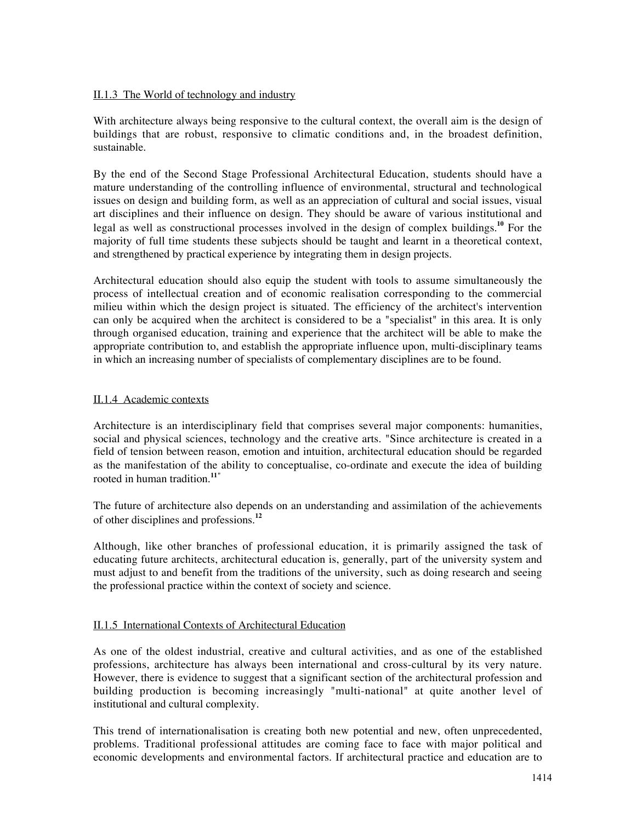#### II.1.3 The World of technology and industry

With architecture always being responsive to the cultural context, the overall aim is the design of buildings that are robust, responsive to climatic conditions and, in the broadest definition, sustainable.

By the end of the Second Stage Professional Architectural Education, students should have a mature understanding of the controlling influence of environmental, structural and technological issues on design and building form, as well as an appreciation of cultural and social issues, visual art disciplines and their influence on design. They should be aware of various institutional and legal as well as constructional processes involved in the design of complex buildings.**<sup>10</sup>** For the majority of full time students these subjects should be taught and learnt in a theoretical context, and strengthened by practical experience by integrating them in design projects.

Architectural education should also equip the student with tools to assume simultaneously the process of intellectual creation and of economic realisation corresponding to the commercial milieu within which the design project is situated. The efficiency of the architect's intervention can only be acquired when the architect is considered to be a "specialist" in this area. It is only through organised education, training and experience that the architect will be able to make the appropriate contribution to, and establish the appropriate influence upon, multi-disciplinary teams in which an increasing number of specialists of complementary disciplines are to be found.

#### II.1.4 Academic contexts

Architecture is an interdisciplinary field that comprises several major components: humanities, social and physical sciences, technology and the creative arts. "Since architecture is created in a field of tension between reason, emotion and intuition, architectural education should be regarded as the manifestation of the ability to conceptualise, co-ordinate and execute the idea of building rooted in human tradition.**11"**

The future of architecture also depends on an understanding and assimilation of the achievements of other disciplines and professions.**<sup>12</sup>**

Although, like other branches of professional education, it is primarily assigned the task of educating future architects, architectural education is, generally, part of the university system and must adjust to and benefit from the traditions of the university, such as doing research and seeing the professional practice within the context of society and science.

#### II.1.5 International Contexts of Architectural Education

As one of the oldest industrial, creative and cultural activities, and as one of the established professions, architecture has always been international and cross-cultural by its very nature. However, there is evidence to suggest that a significant section of the architectural profession and building production is becoming increasingly "multi-national" at quite another level of institutional and cultural complexity.

This trend of internationalisation is creating both new potential and new, often unprecedented, problems. Traditional professional attitudes are coming face to face with major political and economic developments and environmental factors. If architectural practice and education are to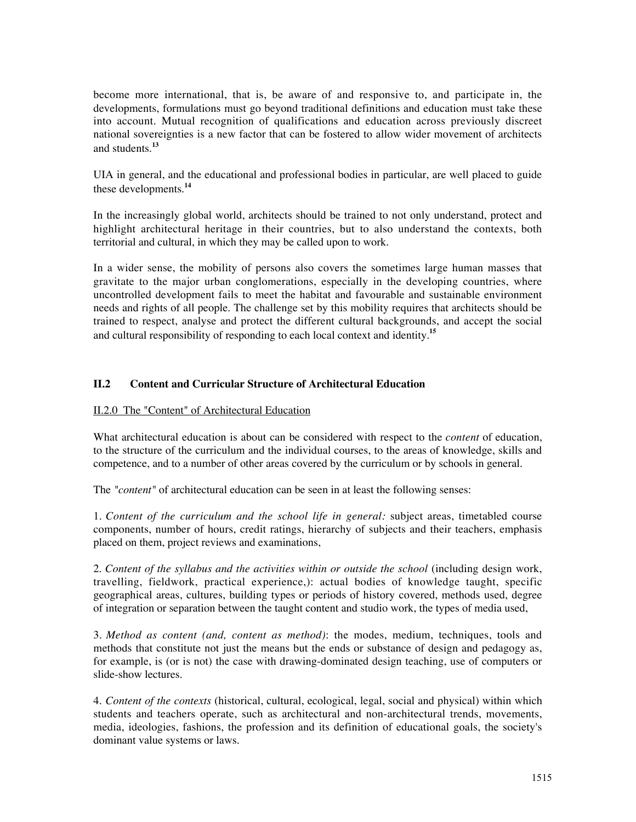become more international, that is, be aware of and responsive to, and participate in, the developments, formulations must go beyond traditional definitions and education must take these into account. Mutual recognition of qualifications and education across previously discreet national sovereignties is a new factor that can be fostered to allow wider movement of architects and students.**<sup>13</sup>**

UIA in general, and the educational and professional bodies in particular, are well placed to guide these developments.**<sup>14</sup>**

In the increasingly global world, architects should be trained to not only understand, protect and highlight architectural heritage in their countries, but to also understand the contexts, both territorial and cultural, in which they may be called upon to work.

In a wider sense, the mobility of persons also covers the sometimes large human masses that gravitate to the major urban conglomerations, especially in the developing countries, where uncontrolled development fails to meet the habitat and favourable and sustainable environment needs and rights of all people. The challenge set by this mobility requires that architects should be trained to respect, analyse and protect the different cultural backgrounds, and accept the social and cultural responsibility of responding to each local context and identity.**<sup>15</sup>**

#### **II.2 Content and Curricular Structure of Architectural Education**

### II.2.0 The "Content" of Architectural Education

What architectural education is about can be considered with respect to the *content* of education, to the structure of the curriculum and the individual courses, to the areas of knowledge, skills and competence, and to a number of other areas covered by the curriculum or by schools in general.

The "*content*" of architectural education can be seen in at least the following senses:

1. *Content of the curriculum and the school life in general:* subject areas, timetabled course components, number of hours, credit ratings, hierarchy of subjects and their teachers, emphasis placed on them, project reviews and examinations,

2. *Content of the syllabus and the activities within or outside the school* (including design work, travelling, fieldwork, practical experience,): actual bodies of knowledge taught, specific geographical areas, cultures, building types or periods of history covered, methods used, degree of integration or separation between the taught content and studio work, the types of media used,

3. *Method as content (and, content as method)*: the modes, medium, techniques, tools and methods that constitute not just the means but the ends or substance of design and pedagogy as, for example, is (or is not) the case with drawing-dominated design teaching, use of computers or slide-show lectures.

4. *Content of the contexts* (historical, cultural, ecological, legal, social and physical) within which students and teachers operate, such as architectural and non-architectural trends, movements, media, ideologies, fashions, the profession and its definition of educational goals, the society's dominant value systems or laws.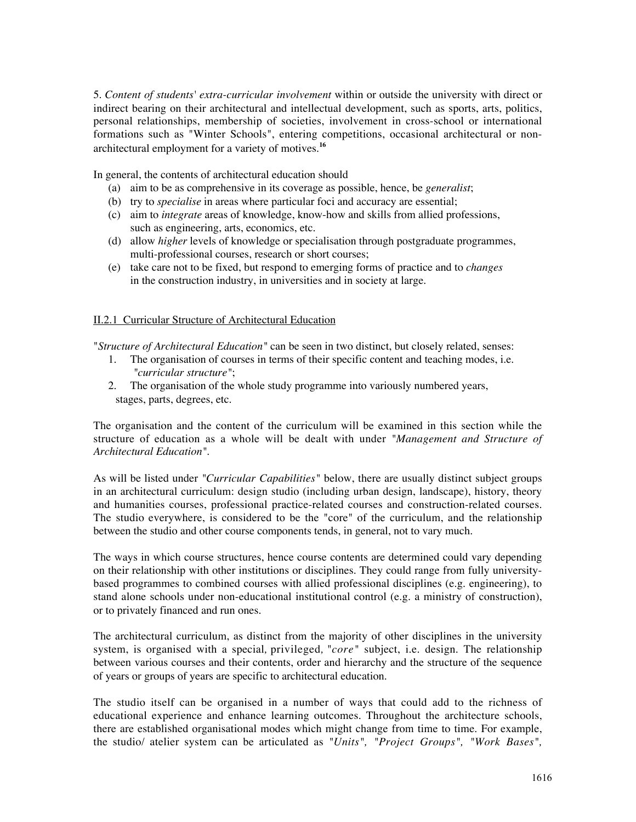5. *Content of students' extra-curricular involvement* within or outside the university with direct or indirect bearing on their architectural and intellectual development, such as sports, arts, politics, personal relationships, membership of societies, involvement in cross-school or international formations such as "Winter Schools", entering competitions, occasional architectural or nonarchitectural employment for a variety of motives.**<sup>16</sup>**

In general, the contents of architectural education should

- (a) aim to be as comprehensive in its coverage as possible, hence, be *generalist*;
- (b) try to *specialise* in areas where particular foci and accuracy are essential;
- (c) aim to *integrate* areas of knowledge, know-how and skills from allied professions, such as engineering, arts, economics, etc.
- (d) allow *higher* levels of knowledge or specialisation through postgraduate programmes, multi-professional courses, research or short courses;
- (e) take care not to be fixed, but respond to emerging forms of practice and to *changes* in the construction industry, in universities and in society at large.

#### II.2.1 Curricular Structure of Architectural Education

"*Structure of Architectural Education"* can be seen in two distinct, but closely related, senses:

- 1. The organisation of courses in terms of their specific content and teaching modes, i.e*. "curricular structure"*;
- 2. The organisation of the whole study programme into variously numbered years, stages, parts, degrees, etc.

The organisation and the content of the curriculum will be examined in this section while the structure of education as a whole will be dealt with under *"Management and Structure of Architectural Education"*.

As will be listed under *"Curricular Capabilities"* below, there are usually distinct subject groups in an architectural curriculum: design studio (including urban design, landscape), history, theory and humanities courses, professional practice-related courses and construction-related courses. The studio everywhere, is considered to be the "core" of the curriculum, and the relationship between the studio and other course components tends, in general, not to vary much.

The ways in which course structures, hence course contents are determined could vary depending on their relationship with other institutions or disciplines. They could range from fully universitybased programmes to combined courses with allied professional disciplines (e.g. engineering), to stand alone schools under non-educational institutional control (e.g. a ministry of construction), or to privately financed and run ones.

The architectural curriculum, as distinct from the majority of other disciplines in the university system, is organised with a special*,* privileged*,* "*core"* subject, i.e. design. The relationship between various courses and their contents, order and hierarchy and the structure of the sequence of years or groups of years are specific to architectural education.

The studio itself can be organised in a number of ways that could add to the richness of educational experience and enhance learning outcomes. Throughout the architecture schools, there are established organisational modes which might change from time to time. For example, the studio/ atelier system can be articulated as *"Units", "Project Groups", "Work Bases",*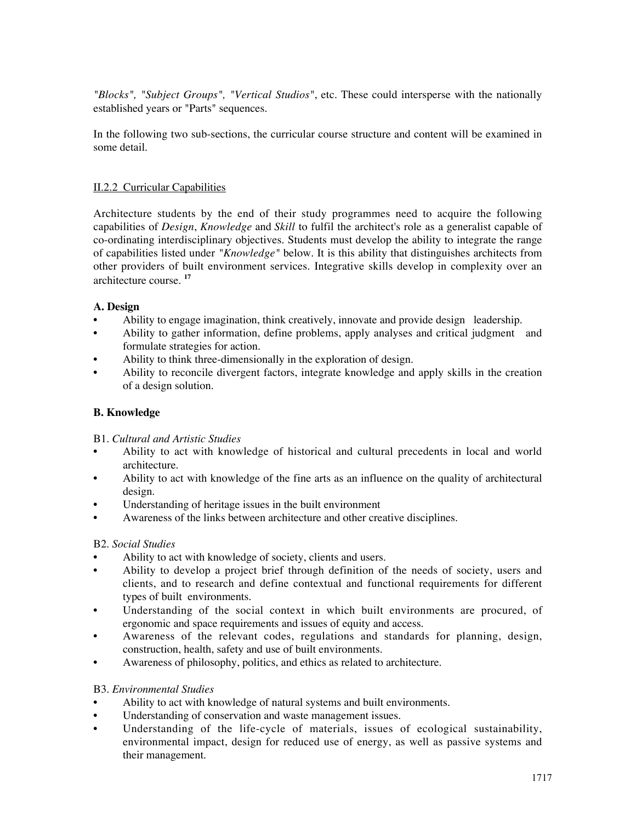*"Blocks", "Subject Groups", "Vertical Studios"*, etc. These could intersperse with the nationally established years or "Parts" sequences.

In the following two sub-sections, the curricular course structure and content will be examined in some detail.

### II.2.2 Curricular Capabilities

Architecture students by the end of their study programmes need to acquire the following capabilities of *Design*, *Knowledge* and *Skill* to fulfil the architect's role as a generalist capable of co-ordinating interdisciplinary objectives. Students must develop the ability to integrate the range of capabilities listed under *"Knowledge"* below. It is this ability that distinguishes architects from other providers of built environment services. Integrative skills develop in complexity over an architecture course. **<sup>17</sup>**

#### **A. Design**

- Ability to engage imagination, think creatively, innovate and provide design leadership.
- Ability to gather information, define problems, apply analyses and critical judgment and formulate strategies for action.
- Ability to think three-dimensionally in the exploration of design.
- Ability to reconcile divergent factors, integrate knowledge and apply skills in the creation of a design solution.

### **B. Knowledge**

#### B1. *Cultural and Artistic Studies*

- Ability to act with knowledge of historical and cultural precedents in local and world architecture.
- Ability to act with knowledge of the fine arts as an influence on the quality of architectural design.
- Understanding of heritage issues in the built environment
- Awareness of the links between architecture and other creative disciplines.

#### B2. *Social Studies*

- Ability to act with knowledge of society, clients and users.
- Ability to develop a project brief through definition of the needs of society, users and clients, and to research and define contextual and functional requirements for different types of built environments.
- Understanding of the social context in which built environments are procured, of ergonomic and space requirements and issues of equity and access.
- Awareness of the relevant codes, regulations and standards for planning, design, construction, health, safety and use of built environments.
- Awareness of philosophy, politics, and ethics as related to architecture.

#### B3. *Environmental Studies*

- Ability to act with knowledge of natural systems and built environments.
- Understanding of conservation and waste management issues.
- Understanding of the life-cycle of materials, issues of ecological sustainability, environmental impact, design for reduced use of energy, as well as passive systems and their management.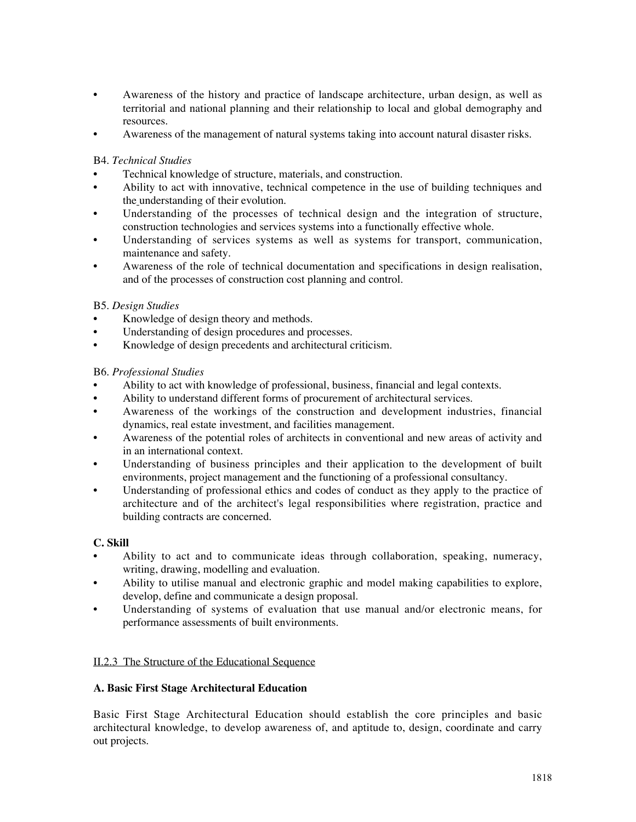- Awareness of the history and practice of landscape architecture, urban design, as well as territorial and national planning and their relationship to local and global demography and resources.
- Awareness of the management of natural systems taking into account natural disaster risks.

#### B4. *Technical Studies*

- Technical knowledge of structure, materials, and construction.
- Ability to act with innovative, technical competence in the use of building techniques and the understanding of their evolution.
- Understanding of the processes of technical design and the integration of structure, construction technologies and services systems into a functionally effective whole.
- Understanding of services systems as well as systems for transport, communication, maintenance and safety.
- Awareness of the role of technical documentation and specifications in design realisation, and of the processes of construction cost planning and control.

### B5. *Design Studies*

- Knowledge of design theory and methods.
- Understanding of design procedures and processes.
- Knowledge of design precedents and architectural criticism.

#### B6. *Professional Studies*

- Ability to act with knowledge of professional, business, financial and legal contexts.
- Ability to understand different forms of procurement of architectural services.
- Awareness of the workings of the construction and development industries, financial dynamics, real estate investment, and facilities management.
- Awareness of the potential roles of architects in conventional and new areas of activity and in an international context.
- Understanding of business principles and their application to the development of built environments, project management and the functioning of a professional consultancy.
- Understanding of professional ethics and codes of conduct as they apply to the practice of architecture and of the architect's legal responsibilities where registration, practice and building contracts are concerned.

# **C. Skill**

- Ability to act and to communicate ideas through collaboration, speaking, numeracy, writing, drawing, modelling and evaluation.
- Ability to utilise manual and electronic graphic and model making capabilities to explore, develop, define and communicate a design proposal.
- Understanding of systems of evaluation that use manual and/or electronic means, for performance assessments of built environments.

#### II.2.3 The Structure of the Educational Sequence

#### **A. Basic First Stage Architectural Education**

Basic First Stage Architectural Education should establish the core principles and basic architectural knowledge, to develop awareness of, and aptitude to, design, coordinate and carry out projects.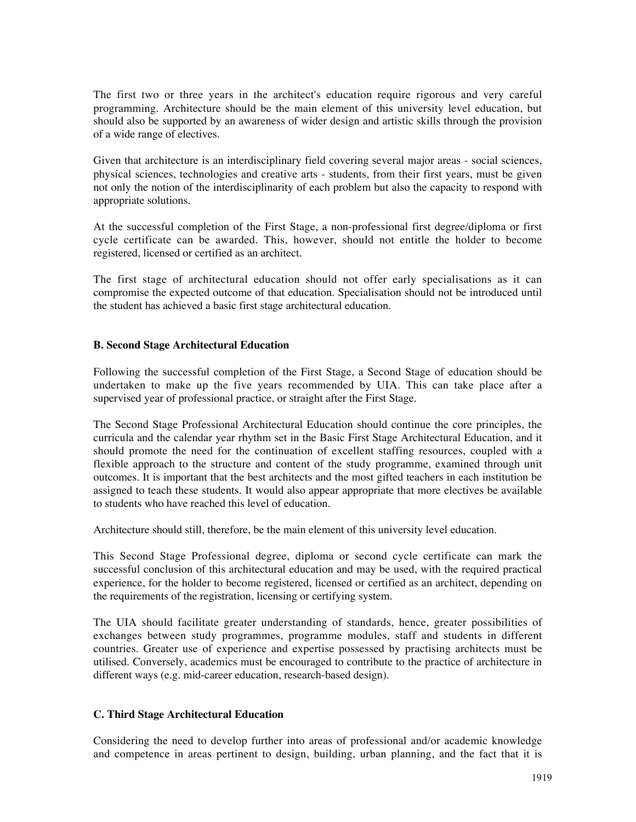The first two or three years in the architect's education require rigorous and very careful programming. Architecture should be the main element of this university level education, but should also be supported by an awareness of wider design and artistic skills through the provision of a wide range of electives.

Given that architecture is an interdisciplinary field covering several major areas - social sciences, physical sciences, technologies and creative arts - students, from their first years, must be given not only the notion of the interdisciplinarity of each problem but also the capacity to respond with appropriate solutions.

At the successful completion of the First Stage, a non-professional first degree/diploma or first cycle certificate can be awarded. This, however, should not entitle the holder to become registered, licensed or certified as an architect.

The first stage of architectural education should not offer early specialisations as it can compromise the expected outcome of that education. Specialisation should not be introduced until the student has achieved a basic first stage architectural education.

#### **B. Second Stage Architectural Education**

Following the successful completion of the First Stage, a Second Stage of education should be undertaken to make up the five years recommended by UIA. This can take place after a supervised year of professional practice, or straight after the First Stage.

The Second Stage Professional Architectural Education should continue the core principles, the curricula and the calendar year rhythm set in the Basic First Stage Architectural Education, and it should promote the need for the continuation of excellent staffing resources, coupled with a flexible approach to the structure and content of the study programme, examined through unit outcomes. It is important that the best architects and the most gifted teachers in each institution be assigned to teach these students. It would also appear appropriate that more electives be available to students who have reached this level of education.

Architecture should still, therefore, be the main element of this university level education.

This Second Stage Professional degree, diploma or second cycle certificate can mark the successful conclusion of this architectural education and may be used, with the required practical experience, for the holder to become registered, licensed or certified as an architect, depending on the requirements of the registration, licensing or certifying system.

The UIA should facilitate greater understanding of standards, hence, greater possibilities of exchanges between study programmes, programme modules, staff and students in different countries. Greater use of experience and expertise possessed by practising architects must be utilised. Conversely, academics must be encouraged to contribute to the practice of architecture in different ways (e.g. mid-career education, research-based design).

#### **C. Third Stage Architectural Education**

Considering the need to develop further into areas of professional and/or academic knowledge and competence in areas pertinent to design, building, urban planning, and the fact that it is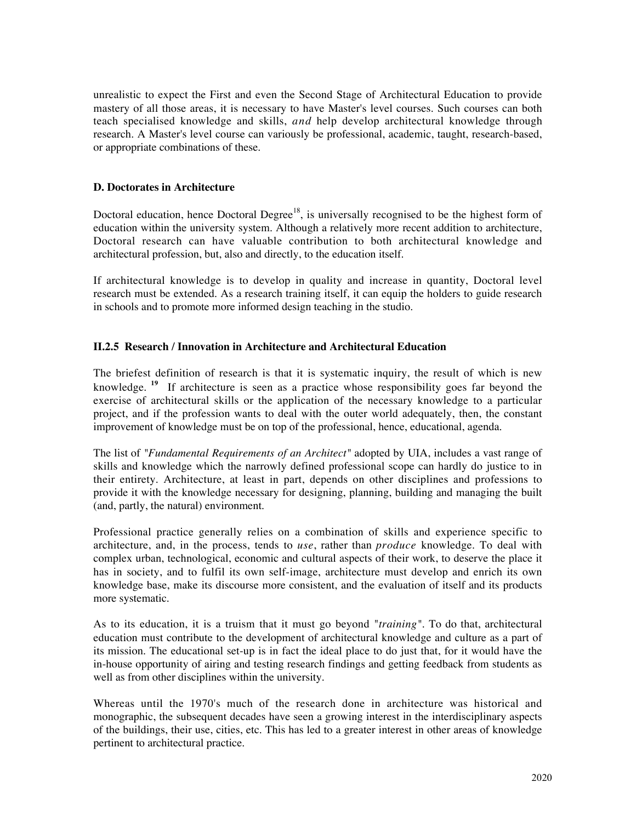unrealistic to expect the First and even the Second Stage of Architectural Education to provide mastery of all those areas, it is necessary to have Master's level courses. Such courses can both teach specialised knowledge and skills, *and* help develop architectural knowledge through research. A Master's level course can variously be professional, academic, taught, research-based, or appropriate combinations of these.

#### **D. Doctorates in Architecture**

Doctoral education, hence Doctoral Degree<sup>18</sup>, is universally recognised to be the highest form of education within the university system. Although a relatively more recent addition to architecture, Doctoral research can have valuable contribution to both architectural knowledge and architectural profession, but, also and directly, to the education itself.

If architectural knowledge is to develop in quality and increase in quantity, Doctoral level research must be extended. As a research training itself, it can equip the holders to guide research in schools and to promote more informed design teaching in the studio.

#### **II.2.5 Research / Innovation in Architecture and Architectural Education**

The briefest definition of research is that it is systematic inquiry, the result of which is new knowledge. <sup>19</sup> If architecture is seen as a practice whose responsibility goes far beyond the exercise of architectural skills or the application of the necessary knowledge to a particular project, and if the profession wants to deal with the outer world adequately, then, the constant improvement of knowledge must be on top of the professional, hence, educational, agenda.

The list of *"Fundamental Requirements of an Architect"* adopted by UIA, includes a vast range of skills and knowledge which the narrowly defined professional scope can hardly do justice to in their entirety. Architecture, at least in part, depends on other disciplines and professions to provide it with the knowledge necessary for designing, planning, building and managing the built (and, partly, the natural) environment.

Professional practice generally relies on a combination of skills and experience specific to architecture, and, in the process, tends to *use*, rather than *produce* knowledge. To deal with complex urban, technological, economic and cultural aspects of their work, to deserve the place it has in society, and to fulfil its own self-image, architecture must develop and enrich its own knowledge base, make its discourse more consistent, and the evaluation of itself and its products more systematic.

As to its education, it is a truism that it must go beyond "*training"*. To do that, architectural education must contribute to the development of architectural knowledge and culture as a part of its mission. The educational set-up is in fact the ideal place to do just that, for it would have the in-house opportunity of airing and testing research findings and getting feedback from students as well as from other disciplines within the university.

Whereas until the 1970's much of the research done in architecture was historical and monographic, the subsequent decades have seen a growing interest in the interdisciplinary aspects of the buildings, their use, cities, etc. This has led to a greater interest in other areas of knowledge pertinent to architectural practice.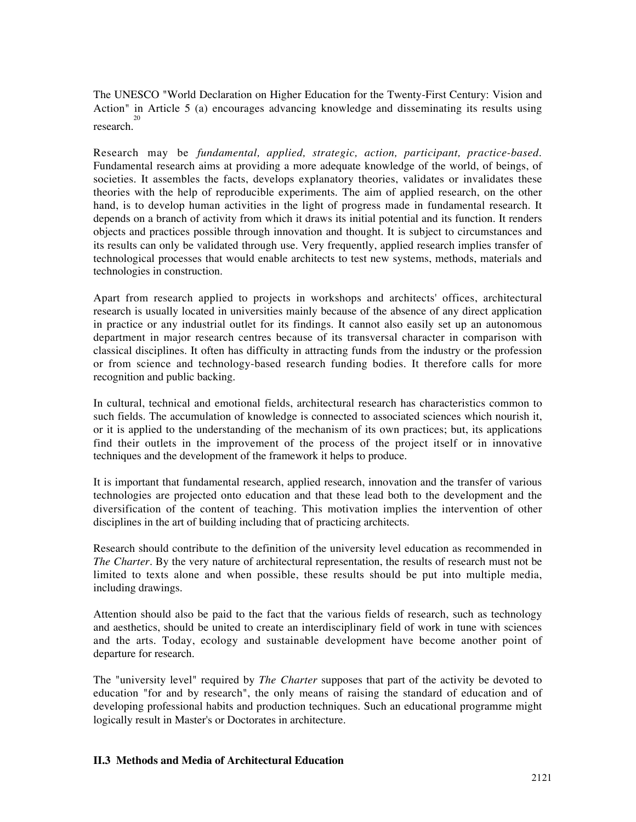The UNESCO "World Declaration on Higher Education for the Twenty-First Century: Vision and Action" in Article 5 (a) encourages advancing knowledge and disseminating its results using research.

Research may be *fundamental, applied, strategic, action, participant, practice-based*. Fundamental research aims at providing a more adequate knowledge of the world, of beings, of societies. It assembles the facts, develops explanatory theories, validates or invalidates these theories with the help of reproducible experiments. The aim of applied research, on the other hand, is to develop human activities in the light of progress made in fundamental research. It depends on a branch of activity from which it draws its initial potential and its function. It renders objects and practices possible through innovation and thought. It is subject to circumstances and its results can only be validated through use. Very frequently, applied research implies transfer of technological processes that would enable architects to test new systems, methods, materials and technologies in construction.

Apart from research applied to projects in workshops and architects' offices, architectural research is usually located in universities mainly because of the absence of any direct application in practice or any industrial outlet for its findings. It cannot also easily set up an autonomous department in major research centres because of its transversal character in comparison with classical disciplines. It often has difficulty in attracting funds from the industry or the profession or from science and technology-based research funding bodies. It therefore calls for more recognition and public backing.

In cultural, technical and emotional fields, architectural research has characteristics common to such fields. The accumulation of knowledge is connected to associated sciences which nourish it, or it is applied to the understanding of the mechanism of its own practices; but, its applications find their outlets in the improvement of the process of the project itself or in innovative techniques and the development of the framework it helps to produce.

It is important that fundamental research, applied research, innovation and the transfer of various technologies are projected onto education and that these lead both to the development and the diversification of the content of teaching. This motivation implies the intervention of other disciplines in the art of building including that of practicing architects.

Research should contribute to the definition of the university level education as recommended in *The Charter*. By the very nature of architectural representation, the results of research must not be limited to texts alone and when possible, these results should be put into multiple media, including drawings.

Attention should also be paid to the fact that the various fields of research, such as technology and aesthetics, should be united to create an interdisciplinary field of work in tune with sciences and the arts. Today, ecology and sustainable development have become another point of departure for research.

The "university level" required by *The Charter* supposes that part of the activity be devoted to education "for and by research", the only means of raising the standard of education and of developing professional habits and production techniques. Such an educational programme might logically result in Master's or Doctorates in architecture.

#### **II.3 Methods and Media of Architectural Education**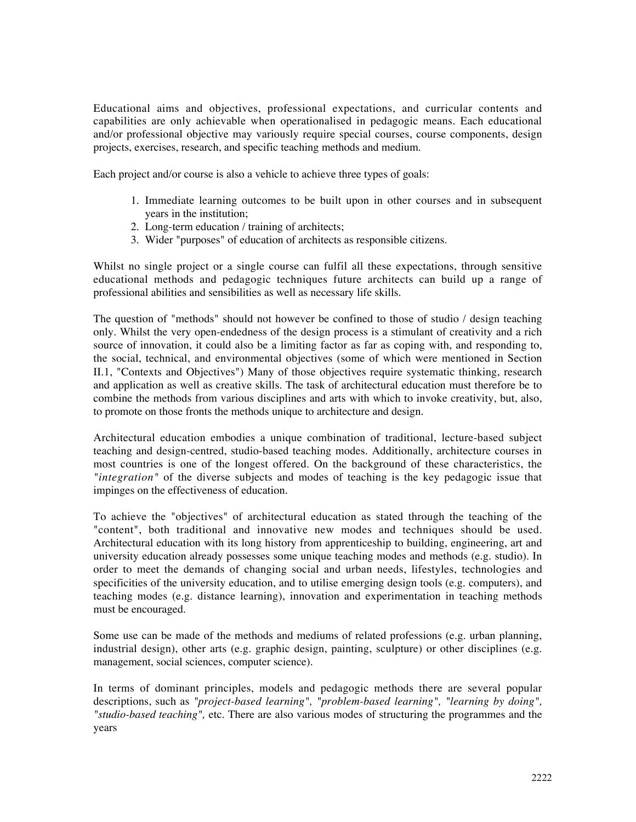Educational aims and objectives, professional expectations, and curricular contents and capabilities are only achievable when operationalised in pedagogic means. Each educational and/or professional objective may variously require special courses, course components, design projects, exercises, research, and specific teaching methods and medium.

Each project and/or course is also a vehicle to achieve three types of goals:

- 1. Immediate learning outcomes to be built upon in other courses and in subsequent years in the institution;
- 2. Long-term education / training of architects;
- 3. Wider "purposes" of education of architects as responsible citizens.

Whilst no single project or a single course can fulfil all these expectations, through sensitive educational methods and pedagogic techniques future architects can build up a range of professional abilities and sensibilities as well as necessary life skills.

The question of "methods" should not however be confined to those of studio / design teaching only. Whilst the very open-endedness of the design process is a stimulant of creativity and a rich source of innovation, it could also be a limiting factor as far as coping with, and responding to, the social, technical, and environmental objectives (some of which were mentioned in Section II.1, "Contexts and Objectives") Many of those objectives require systematic thinking, research and application as well as creative skills. The task of architectural education must therefore be to combine the methods from various disciplines and arts with which to invoke creativity, but, also, to promote on those fronts the methods unique to architecture and design.

Architectural education embodies a unique combination of traditional, lecture-based subject teaching and design-centred, studio-based teaching modes. Additionally, architecture courses in most countries is one of the longest offered. On the background of these characteristics, the *"integration"* of the diverse subjects and modes of teaching is the key pedagogic issue that impinges on the effectiveness of education.

To achieve the "objectives" of architectural education as stated through the teaching of the "content", both traditional and innovative new modes and techniques should be used. Architectural education with its long history from apprenticeship to building, engineering, art and university education already possesses some unique teaching modes and methods (e.g. studio). In order to meet the demands of changing social and urban needs, lifestyles, technologies and specificities of the university education, and to utilise emerging design tools (e.g. computers), and teaching modes (e.g. distance learning), innovation and experimentation in teaching methods must be encouraged.

Some use can be made of the methods and mediums of related professions (e.g. urban planning, industrial design), other arts (e.g. graphic design, painting, sculpture) or other disciplines (e.g. management, social sciences, computer science).

In terms of dominant principles, models and pedagogic methods there are several popular descriptions, such as *"project-based learning", "problem-based learning", "learning by doing", "studio-based teaching",* etc. There are also various modes of structuring the programmes and the years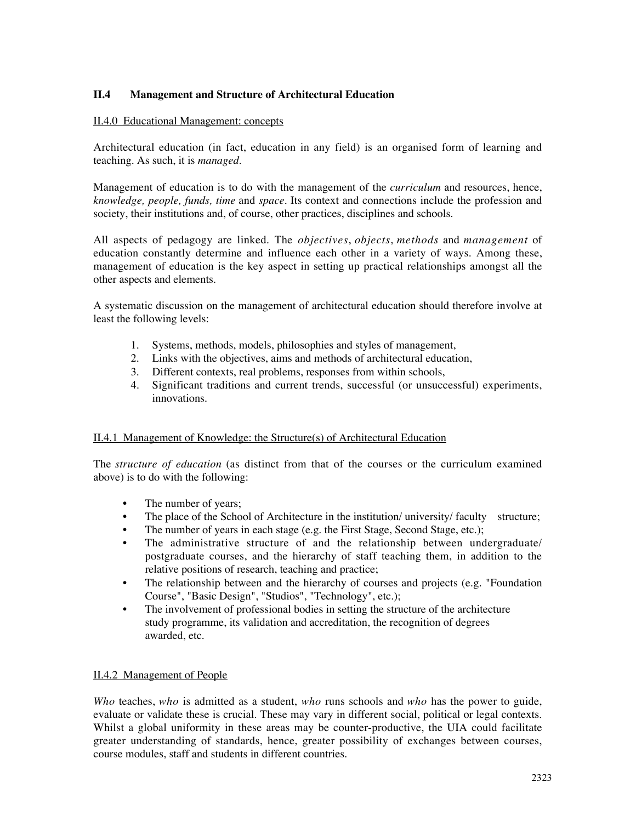### **II.4 Management and Structure of Architectural Education**

#### II.4.0 Educational Management: concepts

Architectural education (in fact, education in any field) is an organised form of learning and teaching. As such, it is *managed*.

Management of education is to do with the management of the *curriculum* and resources, hence, *knowledge, people, funds, time* and *space.* Its context and connections include the profession and society, their institutions and, of course, other practices, disciplines and schools.

All aspects of pedagogy are linked. The *objectives*, *objects*, *methods* and *management* of education constantly determine and influence each other in a variety of ways. Among these, management of education is the key aspect in setting up practical relationships amongst all the other aspects and elements.

A systematic discussion on the management of architectural education should therefore involve at least the following levels:

- 1. Systems, methods, models, philosophies and styles of management,
- 2. Links with the objectives, aims and methods of architectural education,
- 3. Different contexts, real problems, responses from within schools,
- 4. Significant traditions and current trends, successful (or unsuccessful) experiments, innovations.

#### II.4.1 Management of Knowledge: the Structure(s) of Architectural Education

The *structure of education* (as distinct from that of the courses or the curriculum examined above) is to do with the following:

- The number of years;
- The place of the School of Architecture in the institution/university/ faculty structure;
- The number of years in each stage (e.g. the First Stage, Second Stage, etc.);
- The administrative structure of and the relationship between undergraduate/ postgraduate courses, and the hierarchy of staff teaching them, in addition to the relative positions of research, teaching and practice;
- The relationship between and the hierarchy of courses and projects (e.g. "Foundation Course", "Basic Design", "Studios", "Technology", etc.);
- The involvement of professional bodies in setting the structure of the architecture study programme, its validation and accreditation, the recognition of degrees awarded, etc.

#### II.4.2 Management of People

*Who* teaches, *who* is admitted as a student, *who* runs schools and *who* has the power to guide, evaluate or validate these is crucial. These may vary in different social, political or legal contexts. Whilst a global uniformity in these areas may be counter-productive, the UIA could facilitate greater understanding of standards, hence, greater possibility of exchanges between courses, course modules, staff and students in different countries.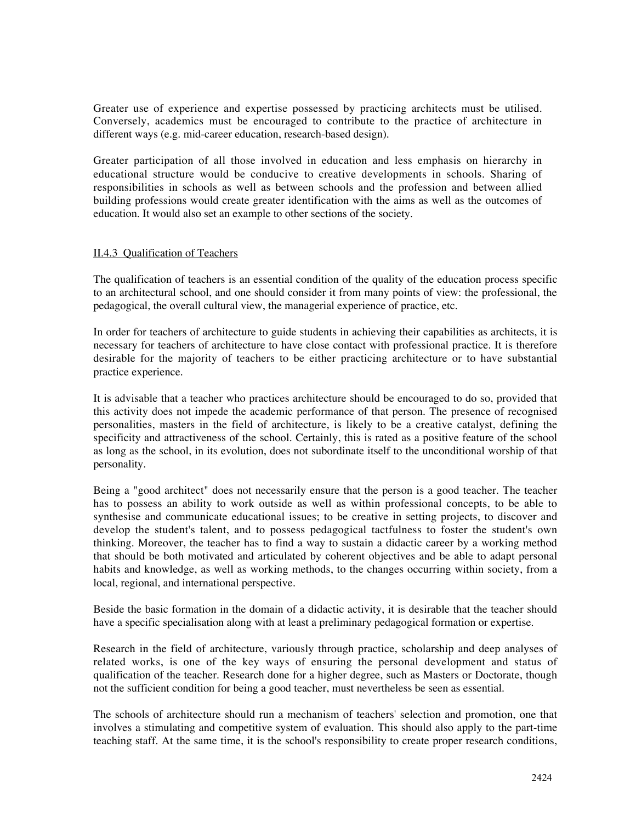Greater use of experience and expertise possessed by practicing architects must be utilised. Conversely, academics must be encouraged to contribute to the practice of architecture in different ways (e.g. mid-career education, research-based design).

Greater participation of all those involved in education and less emphasis on hierarchy in educational structure would be conducive to creative developments in schools. Sharing of responsibilities in schools as well as between schools and the profession and between allied building professions would create greater identification with the aims as well as the outcomes of education. It would also set an example to other sections of the society.

#### II.4.3 Qualification of Teachers

The qualification of teachers is an essential condition of the quality of the education process specific to an architectural school, and one should consider it from many points of view: the professional, the pedagogical, the overall cultural view, the managerial experience of practice, etc.

In order for teachers of architecture to guide students in achieving their capabilities as architects, it is necessary for teachers of architecture to have close contact with professional practice. It is therefore desirable for the majority of teachers to be either practicing architecture or to have substantial practice experience.

It is advisable that a teacher who practices architecture should be encouraged to do so, provided that this activity does not impede the academic performance of that person. The presence of recognised personalities, masters in the field of architecture, is likely to be a creative catalyst, defining the specificity and attractiveness of the school. Certainly, this is rated as a positive feature of the school as long as the school, in its evolution, does not subordinate itself to the unconditional worship of that personality.

Being a "good architect" does not necessarily ensure that the person is a good teacher. The teacher has to possess an ability to work outside as well as within professional concepts, to be able to synthesise and communicate educational issues; to be creative in setting projects, to discover and develop the student's talent, and to possess pedagogical tactfulness to foster the student's own thinking. Moreover, the teacher has to find a way to sustain a didactic career by a working method that should be both motivated and articulated by coherent objectives and be able to adapt personal habits and knowledge, as well as working methods, to the changes occurring within society, from a local, regional, and international perspective.

Beside the basic formation in the domain of a didactic activity, it is desirable that the teacher should have a specific specialisation along with at least a preliminary pedagogical formation or expertise.

Research in the field of architecture, variously through practice, scholarship and deep analyses of related works, is one of the key ways of ensuring the personal development and status of qualification of the teacher. Research done for a higher degree, such as Masters or Doctorate, though not the sufficient condition for being a good teacher, must nevertheless be seen as essential.

The schools of architecture should run a mechanism of teachers' selection and promotion, one that involves a stimulating and competitive system of evaluation. This should also apply to the part-time teaching staff. At the same time, it is the school's responsibility to create proper research conditions,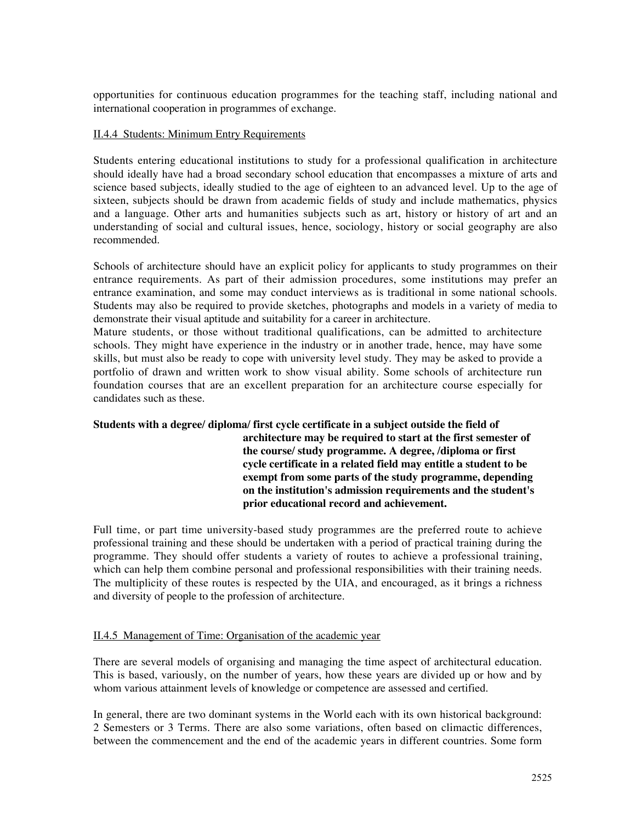opportunities for continuous education programmes for the teaching staff, including national and international cooperation in programmes of exchange.

#### II.4.4 Students: Minimum Entry Requirements

Students entering educational institutions to study for a professional qualification in architecture should ideally have had a broad secondary school education that encompasses a mixture of arts and science based subjects, ideally studied to the age of eighteen to an advanced level. Up to the age of sixteen, subjects should be drawn from academic fields of study and include mathematics, physics and a language. Other arts and humanities subjects such as art, history or history of art and an understanding of social and cultural issues, hence, sociology, history or social geography are also recommended.

Schools of architecture should have an explicit policy for applicants to study programmes on their entrance requirements. As part of their admission procedures, some institutions may prefer an entrance examination, and some may conduct interviews as is traditional in some national schools. Students may also be required to provide sketches, photographs and models in a variety of media to demonstrate their visual aptitude and suitability for a career in architecture.

Mature students, or those without traditional qualifications, can be admitted to architecture schools. They might have experience in the industry or in another trade, hence, may have some skills, but must also be ready to cope with university level study. They may be asked to provide a portfolio of drawn and written work to show visual ability. Some schools of architecture run foundation courses that are an excellent preparation for an architecture course especially for candidates such as these.

# **Students with a degree/ diploma/ first cycle certificate in a subject outside the field of**

**architecture may be required to start at the first semester of the course/ study programme. A degree, /diploma or first cycle certificate in a related field may entitle a student to be exempt from some parts of the study programme, depending on the institution's admission requirements and the student's prior educational record and achievement.**

Full time, or part time university-based study programmes are the preferred route to achieve professional training and these should be undertaken with a period of practical training during the programme. They should offer students a variety of routes to achieve a professional training, which can help them combine personal and professional responsibilities with their training needs. The multiplicity of these routes is respected by the UIA, and encouraged, as it brings a richness and diversity of people to the profession of architecture.

#### II.4.5 Management of Time: Organisation of the academic year

There are several models of organising and managing the time aspect of architectural education. This is based, variously, on the number of years, how these years are divided up or how and by whom various attainment levels of knowledge or competence are assessed and certified.

In general, there are two dominant systems in the World each with its own historical background: 2 Semesters or 3 Terms. There are also some variations, often based on climactic differences, between the commencement and the end of the academic years in different countries. Some form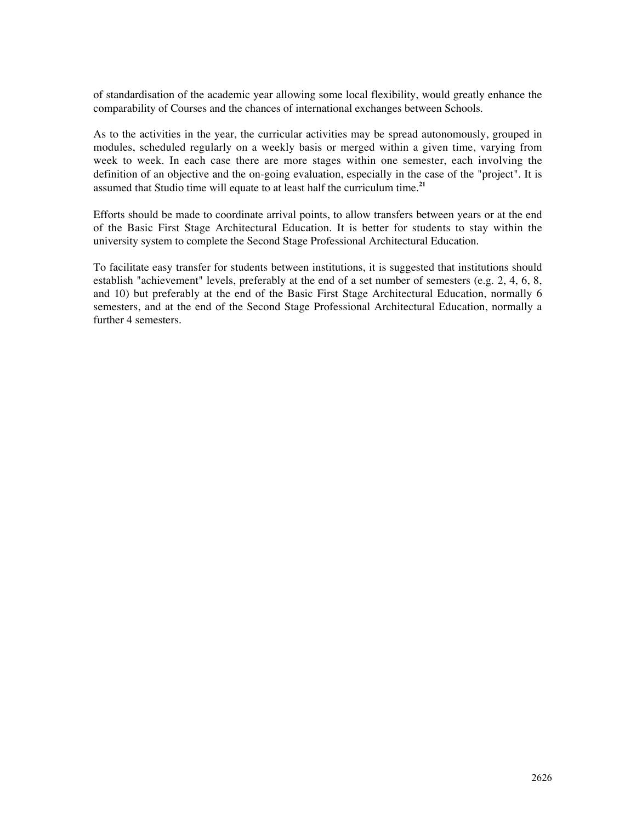of standardisation of the academic year allowing some local flexibility, would greatly enhance the comparability of Courses and the chances of international exchanges between Schools.

As to the activities in the year, the curricular activities may be spread autonomously, grouped in modules, scheduled regularly on a weekly basis or merged within a given time, varying from week to week. In each case there are more stages within one semester, each involving the definition of an objective and the on-going evaluation, especially in the case of the "project". It is assumed that Studio time will equate to at least half the curriculum time.**<sup>21</sup>**

Efforts should be made to coordinate arrival points, to allow transfers between years or at the end of the Basic First Stage Architectural Education. It is better for students to stay within the university system to complete the Second Stage Professional Architectural Education.

To facilitate easy transfer for students between institutions, it is suggested that institutions should establish "achievement" levels, preferably at the end of a set number of semesters (e.g. 2, 4, 6, 8, and 10) but preferably at the end of the Basic First Stage Architectural Education, normally 6 semesters, and at the end of the Second Stage Professional Architectural Education, normally a further 4 semesters.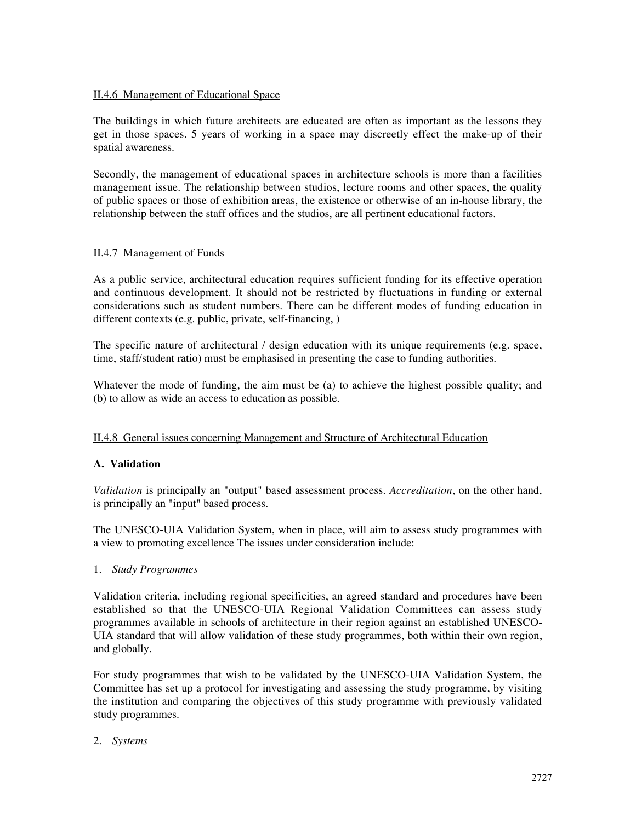### II.4.6 Management of Educational Space

The buildings in which future architects are educated are often as important as the lessons they get in those spaces. 5 years of working in a space may discreetly effect the make-up of their spatial awareness.

Secondly, the management of educational spaces in architecture schools is more than a facilities management issue. The relationship between studios, lecture rooms and other spaces, the quality of public spaces or those of exhibition areas, the existence or otherwise of an in-house library, the relationship between the staff offices and the studios, are all pertinent educational factors.

### II.4.7 Management of Funds

As a public service, architectural education requires sufficient funding for its effective operation and continuous development. It should not be restricted by fluctuations in funding or external considerations such as student numbers. There can be different modes of funding education in different contexts (e.g. public, private, self-financing, )

The specific nature of architectural  $\ell$  design education with its unique requirements (e.g. space, time, staff/student ratio) must be emphasised in presenting the case to funding authorities.

Whatever the mode of funding, the aim must be (a) to achieve the highest possible quality; and (b) to allow as wide an access to education as possible.

#### II.4.8 General issues concerning Management and Structure of Architectural Education

#### **A. Validation**

*Validation* is principally an "output" based assessment process. *Accreditation*, on the other hand, is principally an "input" based process.

The UNESCO-UIA Validation System, when in place, will aim to assess study programmes with a view to promoting excellence The issues under consideration include:

#### 1. *Study Programmes*

Validation criteria, including regional specificities, an agreed standard and procedures have been established so that the UNESCO-UIA Regional Validation Committees can assess study programmes available in schools of architecture in their region against an established UNESCO-UIA standard that will allow validation of these study programmes, both within their own region, and globally.

For study programmes that wish to be validated by the UNESCO-UIA Validation System, the Committee has set up a protocol for investigating and assessing the study programme, by visiting the institution and comparing the objectives of this study programme with previously validated study programmes.

#### 2. *Systems*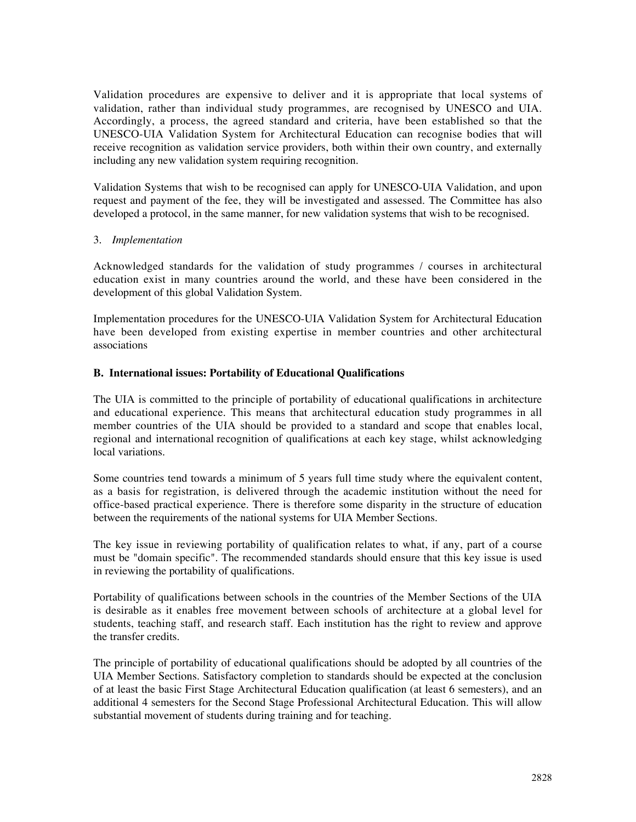Validation procedures are expensive to deliver and it is appropriate that local systems of validation, rather than individual study programmes, are recognised by UNESCO and UIA. Accordingly, a process, the agreed standard and criteria, have been established so that the UNESCO-UIA Validation System for Architectural Education can recognise bodies that will receive recognition as validation service providers, both within their own country, and externally including any new validation system requiring recognition.

Validation Systems that wish to be recognised can apply for UNESCO-UIA Validation, and upon request and payment of the fee, they will be investigated and assessed. The Committee has also developed a protocol, in the same manner, for new validation systems that wish to be recognised.

#### 3. *Implementation*

Acknowledged standards for the validation of study programmes / courses in architectural education exist in many countries around the world, and these have been considered in the development of this global Validation System.

Implementation procedures for the UNESCO-UIA Validation System for Architectural Education have been developed from existing expertise in member countries and other architectural associations

### **B. International issues: Portability of Educational Qualifications**

The UIA is committed to the principle of portability of educational qualifications in architecture and educational experience. This means that architectural education study programmes in all member countries of the UIA should be provided to a standard and scope that enables local, regional and international recognition of qualifications at each key stage, whilst acknowledging local variations.

Some countries tend towards a minimum of 5 years full time study where the equivalent content, as a basis for registration, is delivered through the academic institution without the need for office-based practical experience. There is therefore some disparity in the structure of education between the requirements of the national systems for UIA Member Sections.

The key issue in reviewing portability of qualification relates to what, if any, part of a course must be "domain specific". The recommended standards should ensure that this key issue is used in reviewing the portability of qualifications.

Portability of qualifications between schools in the countries of the Member Sections of the UIA is desirable as it enables free movement between schools of architecture at a global level for students, teaching staff, and research staff. Each institution has the right to review and approve the transfer credits.

The principle of portability of educational qualifications should be adopted by all countries of the UIA Member Sections. Satisfactory completion to standards should be expected at the conclusion of at least the basic First Stage Architectural Education qualification (at least 6 semesters), and an additional 4 semesters for the Second Stage Professional Architectural Education. This will allow substantial movement of students during training and for teaching.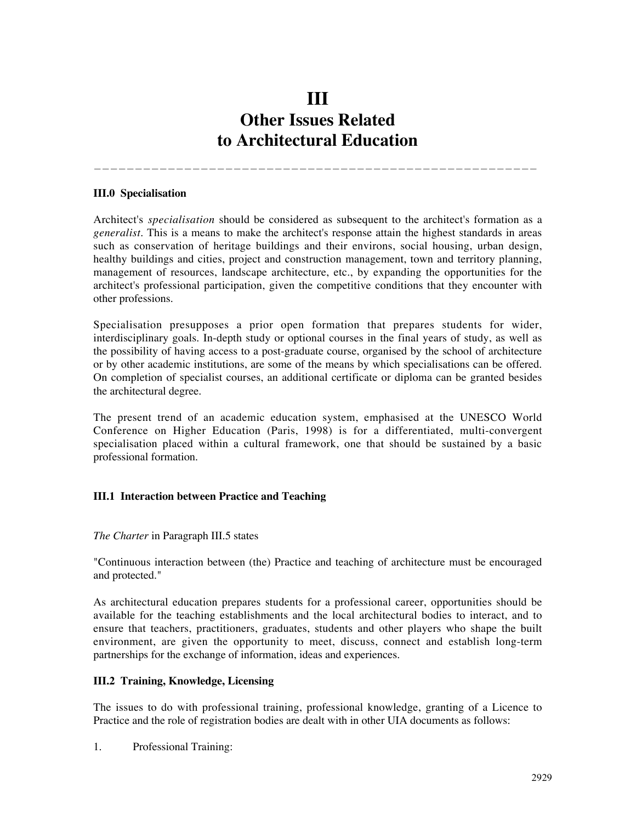# **III Other Issues Related to Architectural Education**

——————————————————————————————————————————————————————

#### **III.0 Specialisation**

Architect's *specialisation* should be considered as subsequent to the architect's formation as a *generalist*. This is a means to make the architect's response attain the highest standards in areas such as conservation of heritage buildings and their environs, social housing, urban design, healthy buildings and cities, project and construction management, town and territory planning, management of resources, landscape architecture, etc., by expanding the opportunities for the architect's professional participation, given the competitive conditions that they encounter with other professions.

Specialisation presupposes a prior open formation that prepares students for wider, interdisciplinary goals. In-depth study or optional courses in the final years of study, as well as the possibility of having access to a post-graduate course, organised by the school of architecture or by other academic institutions, are some of the means by which specialisations can be offered. On completion of specialist courses, an additional certificate or diploma can be granted besides the architectural degree.

The present trend of an academic education system, emphasised at the UNESCO World Conference on Higher Education (Paris, 1998) is for a differentiated, multi-convergent specialisation placed within a cultural framework, one that should be sustained by a basic professional formation.

#### **III.1 Interaction between Practice and Teaching**

#### *The Charter* in Paragraph III.5 states

"Continuous interaction between (the) Practice and teaching of architecture must be encouraged and protected."

As architectural education prepares students for a professional career, opportunities should be available for the teaching establishments and the local architectural bodies to interact, and to ensure that teachers, practitioners, graduates, students and other players who shape the built environment, are given the opportunity to meet, discuss, connect and establish long-term partnerships for the exchange of information, ideas and experiences.

#### **III.2 Training, Knowledge, Licensing**

The issues to do with professional training, professional knowledge, granting of a Licence to Practice and the role of registration bodies are dealt with in other UIA documents as follows:

1. Professional Training: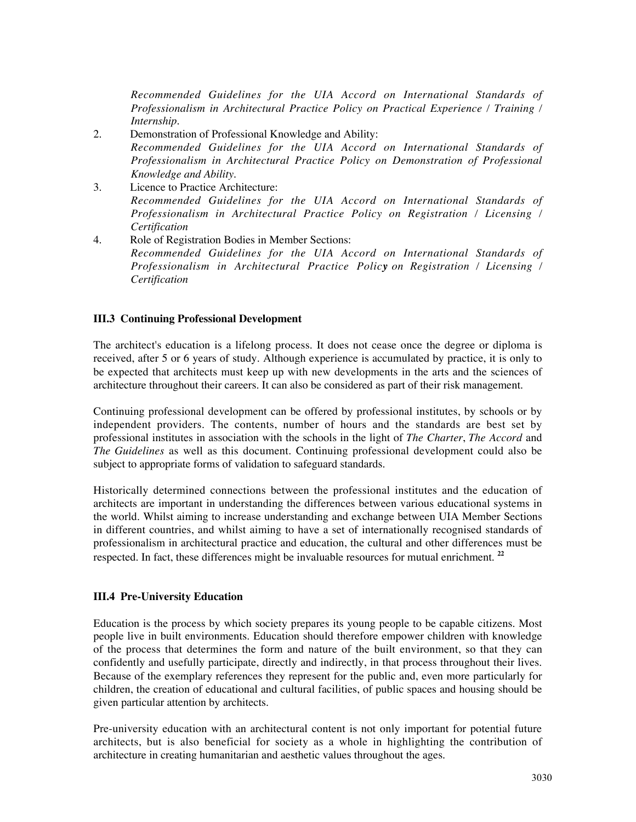*Recommended Guidelines for the UIA Accord on International Standards of Professionalism in Architectural Practice Policy on Practical Experience / Training / Internship.*

- 2. Demonstration of Professional Knowledge and Ability: *Recommended Guidelines for the UIA Accord on International Standards of Professionalism in Architectural Practice Policy on Demonstration of Professional Knowledge and Ability.*
- 3. Licence to Practice Architecture: *Recommended Guidelines for the UIA Accord on International Standards of Professionalism in Architectural Practice Policy on Registration / Licensing / Certification*
- 4. Role of Registration Bodies in Member Sections: *Recommended Guidelines for the UIA Accord on International Standards of Professionalism in Architectural Practice Policy on Registration / Licensing / Certification*

#### **III.3 Continuing Professional Development**

The architect's education is a lifelong process. It does not cease once the degree or diploma is received, after 5 or 6 years of study. Although experience is accumulated by practice, it is only to be expected that architects must keep up with new developments in the arts and the sciences of architecture throughout their careers. It can also be considered as part of their risk management.

Continuing professional development can be offered by professional institutes, by schools or by independent providers. The contents, number of hours and the standards are best set by professional institutes in association with the schools in the light of *The Charter*, *The Accord* and *The Guidelines* as well as this document. Continuing professional development could also be subject to appropriate forms of validation to safeguard standards.

Historically determined connections between the professional institutes and the education of architects are important in understanding the differences between various educational systems in the world. Whilst aiming to increase understanding and exchange between UIA Member Sections in different countries, and whilst aiming to have a set of internationally recognised standards of professionalism in architectural practice and education, the cultural and other differences must be respected. In fact, these differences might be invaluable resources for mutual enrichment. **<sup>22</sup>**

#### **III.4 Pre-University Education**

Education is the process by which society prepares its young people to be capable citizens. Most people live in built environments. Education should therefore empower children with knowledge of the process that determines the form and nature of the built environment, so that they can confidently and usefully participate, directly and indirectly, in that process throughout their lives. Because of the exemplary references they represent for the public and, even more particularly for children, the creation of educational and cultural facilities, of public spaces and housing should be given particular attention by architects.

Pre-university education with an architectural content is not only important for potential future architects, but is also beneficial for society as a whole in highlighting the contribution of architecture in creating humanitarian and aesthetic values throughout the ages.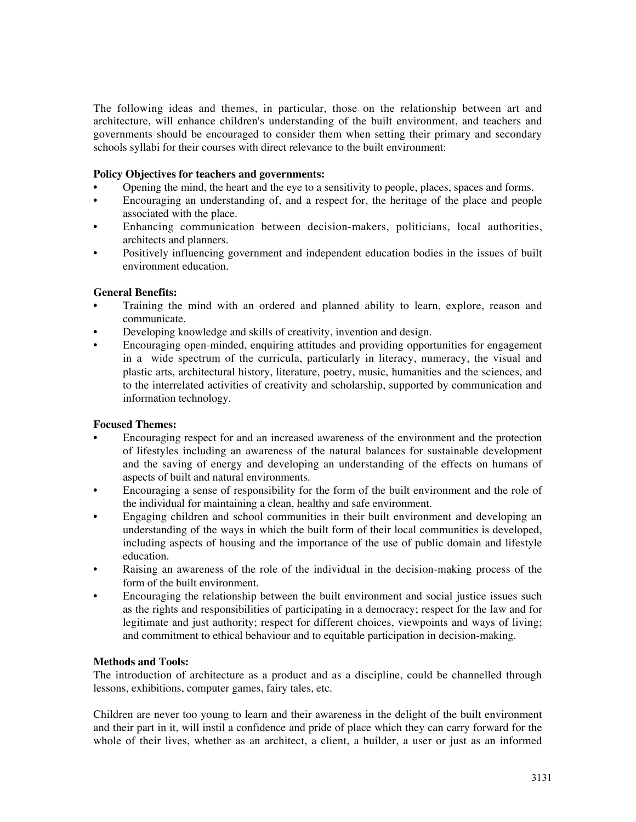The following ideas and themes, in particular, those on the relationship between art and architecture, will enhance children's understanding of the built environment, and teachers and governments should be encouraged to consider them when setting their primary and secondary schools syllabi for their courses with direct relevance to the built environment:

#### **Policy Objectives for teachers and governments:**

- Opening the mind, the heart and the eye to a sensitivity to people, places, spaces and forms.
- Encouraging an understanding of, and a respect for, the heritage of the place and people associated with the place.
- Enhancing communication between decision-makers, politicians, local authorities, architects and planners.
- Positively influencing government and independent education bodies in the issues of built environment education.

#### **General Benefits:**

- Training the mind with an ordered and planned ability to learn, explore, reason and communicate.
- Developing knowledge and skills of creativity, invention and design.
- Encouraging open-minded, enquiring attitudes and providing opportunities for engagement in a wide spectrum of the curricula, particularly in literacy, numeracy, the visual and plastic arts, architectural history, literature, poetry, music, humanities and the sciences, and to the interrelated activities of creativity and scholarship, supported by communication and information technology.

#### **Focused Themes:**

- Encouraging respect for and an increased awareness of the environment and the protection of lifestyles including an awareness of the natural balances for sustainable development and the saving of energy and developing an understanding of the effects on humans of aspects of built and natural environments.
- Encouraging a sense of responsibility for the form of the built environment and the role of the individual for maintaining a clean, healthy and safe environment.
- Engaging children and school communities in their built environment and developing an understanding of the ways in which the built form of their local communities is developed, including aspects of housing and the importance of the use of public domain and lifestyle education.
- Raising an awareness of the role of the individual in the decision-making process of the form of the built environment.
- Encouraging the relationship between the built environment and social justice issues such as the rights and responsibilities of participating in a democracy; respect for the law and for legitimate and just authority; respect for different choices, viewpoints and ways of living; and commitment to ethical behaviour and to equitable participation in decision-making.

#### **Methods and Tools:**

The introduction of architecture as a product and as a discipline, could be channelled through lessons, exhibitions, computer games, fairy tales, etc.

Children are never too young to learn and their awareness in the delight of the built environment and their part in it, will instil a confidence and pride of place which they can carry forward for the whole of their lives, whether as an architect, a client, a builder, a user or just as an informed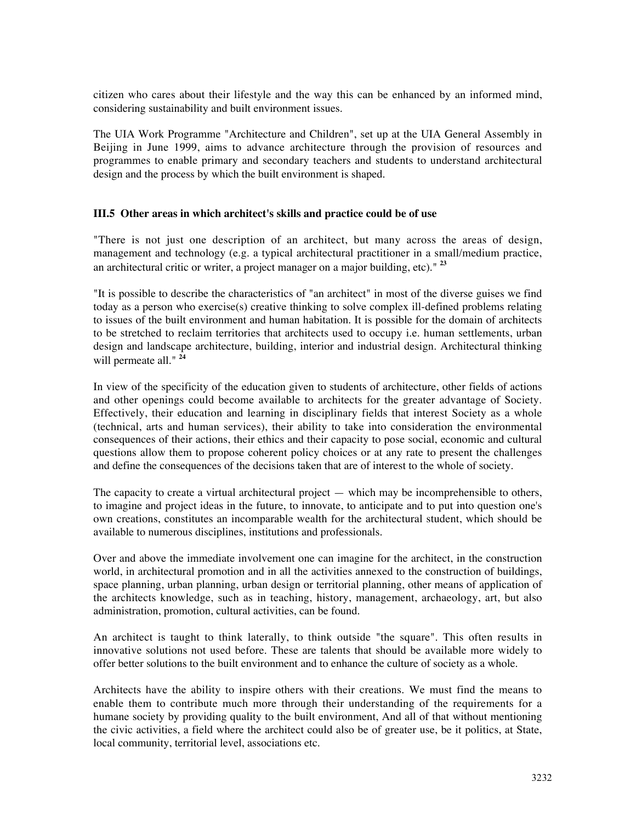citizen who cares about their lifestyle and the way this can be enhanced by an informed mind, considering sustainability and built environment issues.

The UIA Work Programme "Architecture and Children", set up at the UIA General Assembly in Beijing in June 1999, aims to advance architecture through the provision of resources and programmes to enable primary and secondary teachers and students to understand architectural design and the process by which the built environment is shaped.

#### **III.5 Other areas in which architect's skills and practice could be of use**

"There is not just one description of an architect, but many across the areas of design, management and technology (e.g. a typical architectural practitioner in a small/medium practice, an architectural critic or writer, a project manager on a major building, etc)." **<sup>23</sup>**

"It is possible to describe the characteristics of "an architect" in most of the diverse guises we find today as a person who exercise(s) creative thinking to solve complex ill-defined problems relating to issues of the built environment and human habitation. It is possible for the domain of architects to be stretched to reclaim territories that architects used to occupy i.e. human settlements, urban design and landscape architecture, building, interior and industrial design. Architectural thinking will permeate all." **<sup>24</sup>**

In view of the specificity of the education given to students of architecture, other fields of actions and other openings could become available to architects for the greater advantage of Society. Effectively, their education and learning in disciplinary fields that interest Society as a whole (technical, arts and human services), their ability to take into consideration the environmental consequences of their actions, their ethics and their capacity to pose social, economic and cultural questions allow them to propose coherent policy choices or at any rate to present the challenges and define the consequences of the decisions taken that are of interest to the whole of society.

The capacity to create a virtual architectural project  $-$  which may be incomprehensible to others, to imagine and project ideas in the future, to innovate, to anticipate and to put into question one's own creations, constitutes an incomparable wealth for the architectural student, which should be available to numerous disciplines, institutions and professionals.

Over and above the immediate involvement one can imagine for the architect, in the construction world, in architectural promotion and in all the activities annexed to the construction of buildings, space planning, urban planning, urban design or territorial planning, other means of application of the architects knowledge, such as in teaching, history, management, archaeology, art, but also administration, promotion, cultural activities, can be found.

An architect is taught to think laterally, to think outside "the square". This often results in innovative solutions not used before. These are talents that should be available more widely to offer better solutions to the built environment and to enhance the culture of society as a whole.

Architects have the ability to inspire others with their creations. We must find the means to enable them to contribute much more through their understanding of the requirements for a humane society by providing quality to the built environment, And all of that without mentioning the civic activities, a field where the architect could also be of greater use, be it politics, at State, local community, territorial level, associations etc.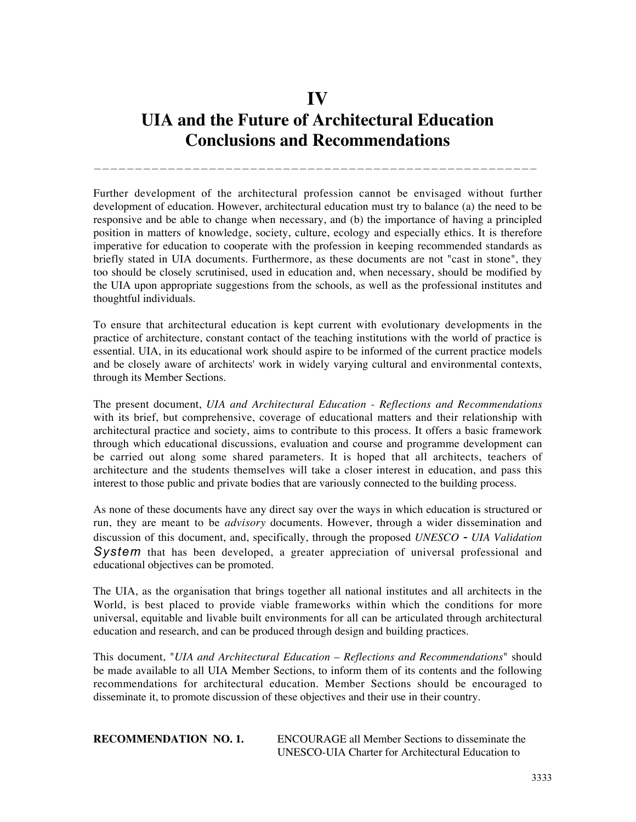# **IV UIA and the Future of Architectural Education Conclusions and Recommendations**

——————————————————————————————————————————————————————

Further development of the architectural profession cannot be envisaged without further development of education. However, architectural education must try to balance (a) the need to be responsive and be able to change when necessary, and (b) the importance of having a principled position in matters of knowledge, society, culture, ecology and especially ethics. It is therefore imperative for education to cooperate with the profession in keeping recommended standards as briefly stated in UIA documents. Furthermore, as these documents are not "cast in stone", they too should be closely scrutinised, used in education and, when necessary, should be modified by the UIA upon appropriate suggestions from the schools, as well as the professional institutes and thoughtful individuals.

To ensure that architectural education is kept current with evolutionary developments in the practice of architecture, constant contact of the teaching institutions with the world of practice is essential. UIA, in its educational work should aspire to be informed of the current practice models and be closely aware of architects' work in widely varying cultural and environmental contexts, through its Member Sections.

The present document, *UIA and Architectural Education - Reflections and Recommendations* with its brief, but comprehensive, coverage of educational matters and their relationship with architectural practice and society, aims to contribute to this process. It offers a basic framework through which educational discussions, evaluation and course and programme development can be carried out along some shared parameters. It is hoped that all architects, teachers of architecture and the students themselves will take a closer interest in education, and pass this interest to those public and private bodies that are variously connected to the building process.

As none of these documents have any direct say over the ways in which education is structured or run, they are meant to be *advisory* documents. However, through a wider dissemination and discussion of this document, and, specifically, through the proposed *UNESCO - UIA Validation* System that has been developed, a greater appreciation of universal professional and educational objectives can be promoted.

The UIA, as the organisation that brings together all national institutes and all architects in the World, is best placed to provide viable frameworks within which the conditions for more universal, equitable and livable built environments for all can be articulated through architectural education and research, and can be produced through design and building practices.

This document, "*UIA and Architectural Education – Reflections and Recommendations*" should be made available to all UIA Member Sections, to inform them of its contents and the following recommendations for architectural education. Member Sections should be encouraged to disseminate it, to promote discussion of these objectives and their use in their country.

**RECOMMENDATION NO. 1.** ENCOURAGE all Member Sections to disseminate the UNESCO-UIA Charter for Architectural Education to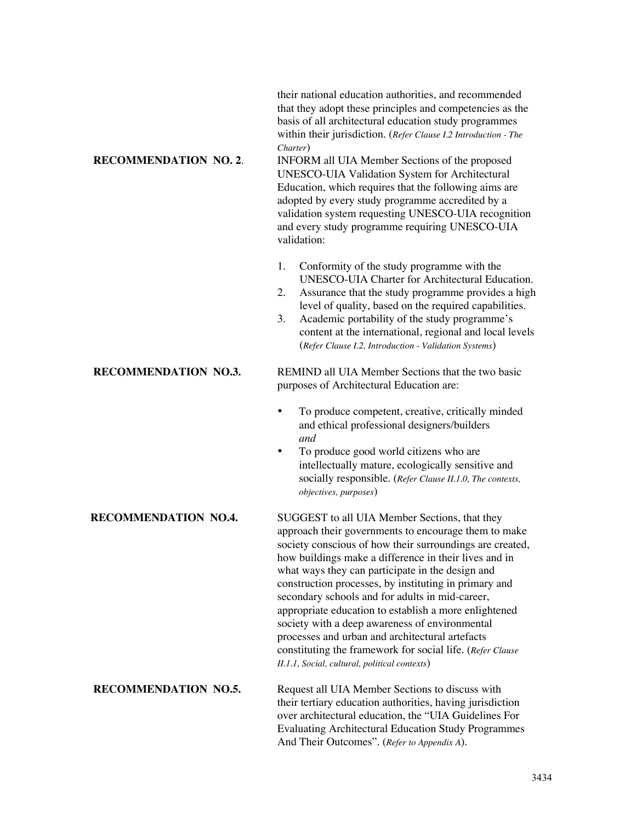their national education authorities, and recommended that they adopt these principles and competencies as the basis of all architectural education study programmes within their jurisdiction. (*Refer Clause I.2 Introduction - The Charter*)

**RECOMMENDATION NO. 2**. INFORM all UIA Member Sections of the proposed UNESCO-UIA Validation System for Architectural Education, which requires that the following aims are adopted by every study programme accredited by a validation system requesting UNESCO-UIA recognition and every study programme requiring UNESCO-UIA validation:

- 1. Conformity of the study programme with the UNESCO-UIA Charter for Architectural Education.
- 2. Assurance that the study programme provides a high level of quality, based on the required capabilities.
- 3. Academic portability of the study programme's content at the international, regional and local levels (*Refer Clause I.2, Introduction - Validation Systems*)

**RECOMMENDATION NO.3.** REMIND all UIA Member Sections that the two basic purposes of Architectural Education are:

- To produce competent, creative, critically minded and ethical professional designers/builders *and*
- To produce good world citizens who are intellectually mature, ecologically sensitive and socially responsible. (*Refer Clause II.1.0, The contexts, objectives, purposes*)

**RECOMMENDATION NO.4.** SUGGEST to all UIA Member Sections, that they approach their governments to encourage them to make society conscious of how their surroundings are created, how buildings make a difference in their lives and in what ways they can participate in the design and construction processes, by instituting in primary and secondary schools and for adults in mid-career, appropriate education to establish a more enlightened society with a deep awareness of environmental processes and urban and architectural artefacts constituting the framework for social life. (*Refer Clause II.1.1, Social, cultural, political contexts*)

**RECOMMENDATION NO.5.** Request all UIA Member Sections to discuss with their tertiary education authorities, having jurisdiction over architectural education, the "UIA Guidelines For Evaluating Architectural Education Study Programmes And Their Outcomes". (*Refer to Appendix A*).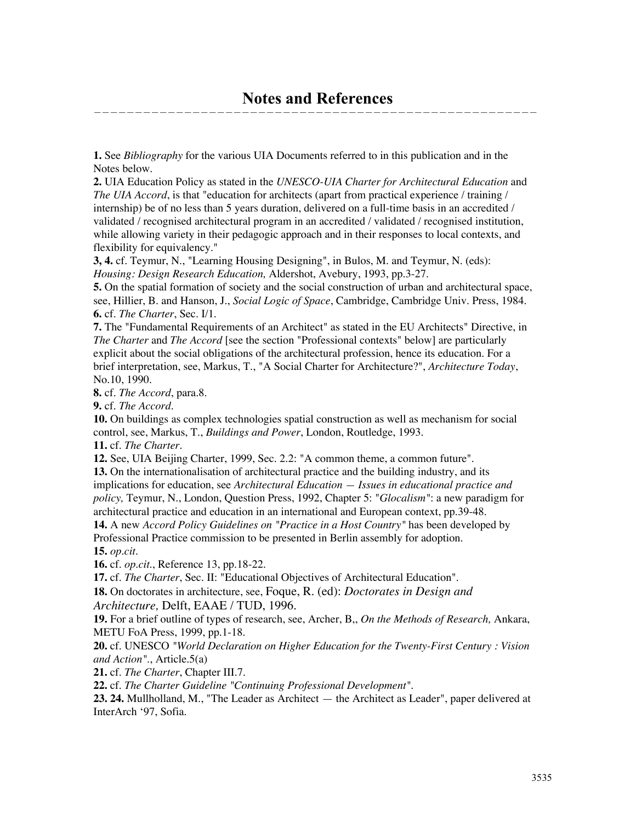**1.** See *Bibliography* for the various UIA Documents referred to in this publication and in the Notes below.

**2.** UIA Education Policy as stated in the *UNESCO-UIA Charter for Architectural Education* and *The UIA Accord*, is that "education for architects (apart from practical experience / training / internship) be of no less than 5 years duration, delivered on a full-time basis in an accredited / validated / recognised architectural program in an accredited / validated / recognised institution, while allowing variety in their pedagogic approach and in their responses to local contexts, and flexibility for equivalency."

**3, 4.** cf. Teymur, N., "Learning Housing Designing", in Bulos, M. and Teymur, N. (eds): *Housing: Design Research Education,* Aldershot, Avebury, 1993, pp.3-27.

**5.** On the spatial formation of society and the social construction of urban and architectural space, see, Hillier, B. and Hanson, J., *Social Logic of Space*, Cambridge, Cambridge Univ. Press, 1984. **6.** cf. *The Charter*, Sec. I/1.

**7.** The "Fundamental Requirements of an Architect" as stated in the EU Architects" Directive, in *The Charter* and *The Accord* [see the section "Professional contexts" below] are particularly explicit about the social obligations of the architectural profession, hence its education. For a brief interpretation, see, Markus, T., "A Social Charter for Architecture?", *Architecture Today*, No.10, 1990.

**8.** cf. *The Accord*, para.8.

**9.** cf. *The Accord.*

**10.** On buildings as complex technologies spatial construction as well as mechanism for social control, see, Markus, T., *Buildings and Power*, London, Routledge, 1993.

**11.** cf. *The Charter.*

**12.** See, UIA Beijing Charter, 1999, Sec. 2.2: "A common theme, a common future".

**13.** On the internationalisation of architectural practice and the building industry, and its implications for education, see *Architectural Education — Issues in educational practice and policy,* Teymur, N., London, Question Press, 1992, Chapter 5: "*Glocalism"*: a new paradigm for architectural practice and education in an international and European context, pp.39-48.

**14.** A new *Accord Policy Guidelines on "Practice in a Host Country"* has been developed by Professional Practice commission to be presented in Berlin assembly for adoption.

**15.** *op.cit.*

**16.** cf. *op.cit*., Reference 13, pp.18-22.

**17.** cf. *The Charter*, Sec. II: "Educational Objectives of Architectural Education".

**18.** On doctorates in architecture, see, Foque, R. (ed): *Doctorates in Design and Architecture,* Delft, EAAE / TUD, 1996.

**19.** For a brief outline of types of research, see, Archer, B,, *On the Methods of Research,* Ankara, METU FoA Press, 1999, pp.1-18.

**20.** cf. UNESCO *"World Declaration on Higher Education for the Twenty-First Century : Vision and Action"*., Article.5(a)

**21.** cf. *The Charter*, Chapter III.7.

**22.** cf. *The Charter Guideline "Continuing Professional Development".*

**23. 24.** Mullholland, M., "The Leader as Architect — the Architect as Leader", paper delivered at InterArch '97, Sofia.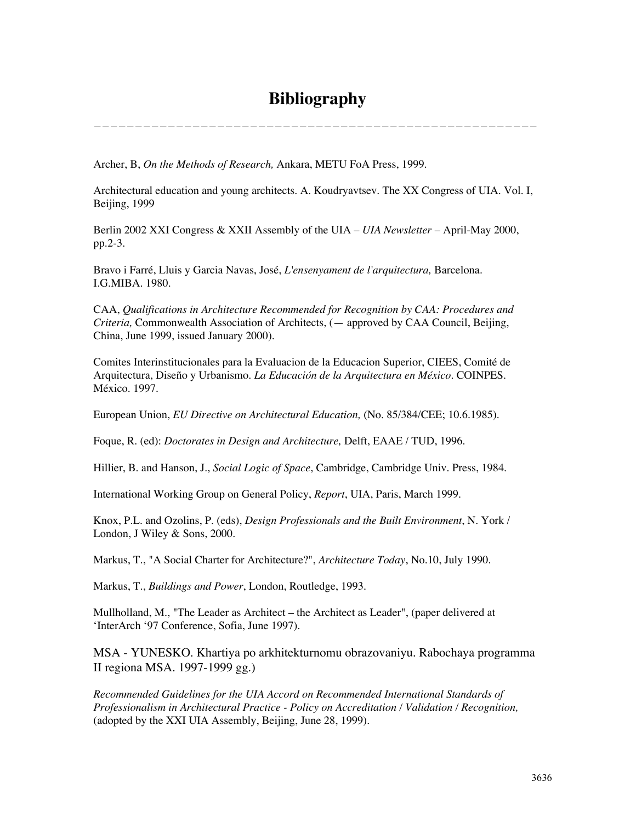# **Bibliography**

——————————————————————————————————————————————————————

Archer, B, *On the Methods of Research,* Ankara, METU FoA Press, 1999.

Architectural education and young architects. A. Koudryavtsev. The XX Congress of UIA. Vol. I, Beijing, 1999

Berlin 2002 XXI Congress & XXII Assembly of the UIA – *UIA Newsletter* – April-May 2000, pp.2-3.

Bravo i Farré, Lluis y Garcia Navas, José, *L'ensenyament de l'arquitectura,* Barcelona. I.G.MIBA. 1980.

CAA, *Qualifications in Architecture Recommended for Recognition by CAA: Procedures and Criteria,* Commonwealth Association of Architects, (— approved by CAA Council, Beijing, China, June 1999, issued January 2000).

Comites Interinstitucionales para la Evaluacion de la Educacion Superior, CIEES, Comité de Arquitectura, Diseño y Urbanismo. *La Educación de la Arquitectura en México*. COINPES. México. 1997.

European Union, *EU Directive on Architectural Education,* (No. 85/384/CEE; 10.6.1985).

Foque, R. (ed): *Doctorates in Design and Architecture,* Delft, EAAE / TUD, 1996.

Hillier, B. and Hanson, J., *Social Logic of Space*, Cambridge, Cambridge Univ. Press, 1984.

International Working Group on General Policy, *Report*, UIA, Paris, March 1999.

Knox, P.L. and Ozolins, P. (eds), *Design Professionals and the Built Environment*, N. York / London, J Wiley & Sons, 2000.

Markus, T., "A Social Charter for Architecture?", *Architecture Today*, No.10, July 1990.

Markus, T., *Buildings and Power*, London, Routledge, 1993.

Mullholland, M., "The Leader as Architect – the Architect as Leader", (paper delivered at 'InterArch '97 Conference, Sofia, June 1997).

MSA - YUNESKO. Khartiya po arkhitekturnomu obrazovaniyu. Rabochaya programma II regiona MSA. 1997-1999 gg.)

*Recommended Guidelines for the UIA Accord on Recommended International Standards of Professionalism in Architectural Practice - Policy on Accreditation / Validation / Recognition,* (adopted by the XXI UIA Assembly, Beijing, June 28, 1999).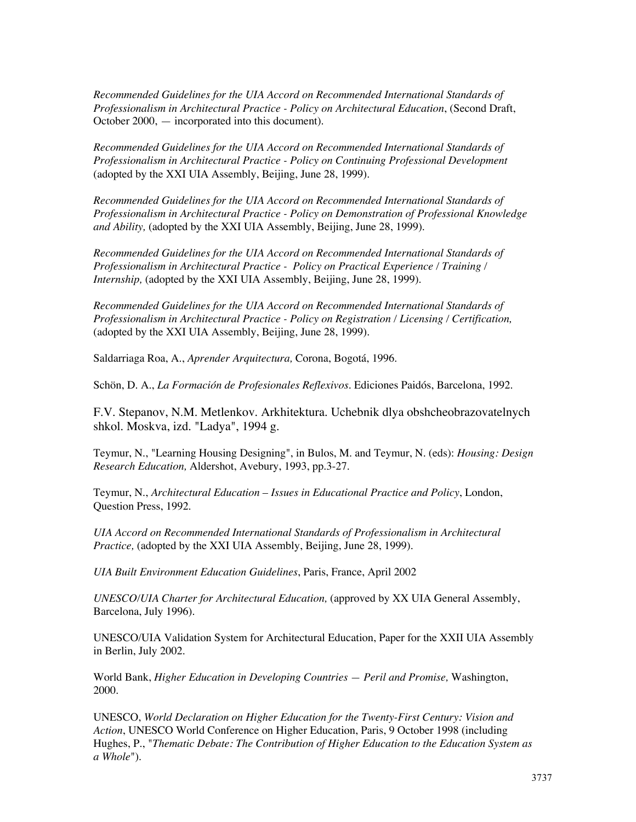*Recommended Guidelines for the UIA Accord on Recommended International Standards of Professionalism in Architectural Practice - Policy on Architectural Education*, (Second Draft, October 2000, — incorporated into this document).

*Recommended Guidelines for the UIA Accord on Recommended International Standards of Professionalism in Architectural Practice - Policy on Continuing Professional Development* (adopted by the XXI UIA Assembly, Beijing, June 28, 1999).

*Recommended Guidelines for the UIA Accord on Recommended International Standards of Professionalism in Architectural Practice - Policy on Demonstration of Professional Knowledge and Ability,* (adopted by the XXI UIA Assembly, Beijing, June 28, 1999).

*Recommended Guidelines for the UIA Accord on Recommended International Standards of Professionalism in Architectural Practice - Policy on Practical Experience / Training / Internship,* (adopted by the XXI UIA Assembly, Beijing, June 28, 1999).

*Recommended Guidelines for the UIA Accord on Recommended International Standards of Professionalism in Architectural Practice - Policy on Registration / Licensing / Certification,* (adopted by the XXI UIA Assembly, Beijing, June 28, 1999).

Saldarriaga Roa, A., *Aprender Arquitectura,* Corona, Bogotá, 1996.

Schön, D. A., *La Formación de Profesionales Reflexivos.* Ediciones Paidós, Barcelona, 1992.

F.V. Stepanov, N.M. Metlenkov. Arkhitektura. Uchebnik dlya obshcheobrazovatelnych shkol. Moskva, izd. "Ladya", 1994 g.

Teymur, N., "Learning Housing Designing", in Bulos, M. and Teymur, N. (eds): *Housing: Design Research Education,* Aldershot, Avebury, 1993, pp.3-27.

Teymur, N., *Architectural Education – Issues in Educational Practice and Policy*, London, Question Press, 1992.

*UIA Accord on Recommended International Standards of Professionalism in Architectural Practice,* (adopted by the XXI UIA Assembly, Beijing, June 28, 1999).

*UIA Built Environment Education Guidelines*, Paris, France, April 2002

*UNESCO/UIA Charter for Architectural Education,* (approved by XX UIA General Assembly, Barcelona, July 1996).

UNESCO/UIA Validation System for Architectural Education, Paper for the XXII UIA Assembly in Berlin, July 2002.

World Bank, *Higher Education in Developing Countries — Peril and Promise,* Washington, 2000.

UNESCO, *World Declaration on Higher Education for the Twenty-First Century: Vision and Action*, UNESCO World Conference on Higher Education, Paris, 9 October 1998 (including Hughes, P., "*Thematic Debate: The Contribution of Higher Education to the Education System as a Whole*").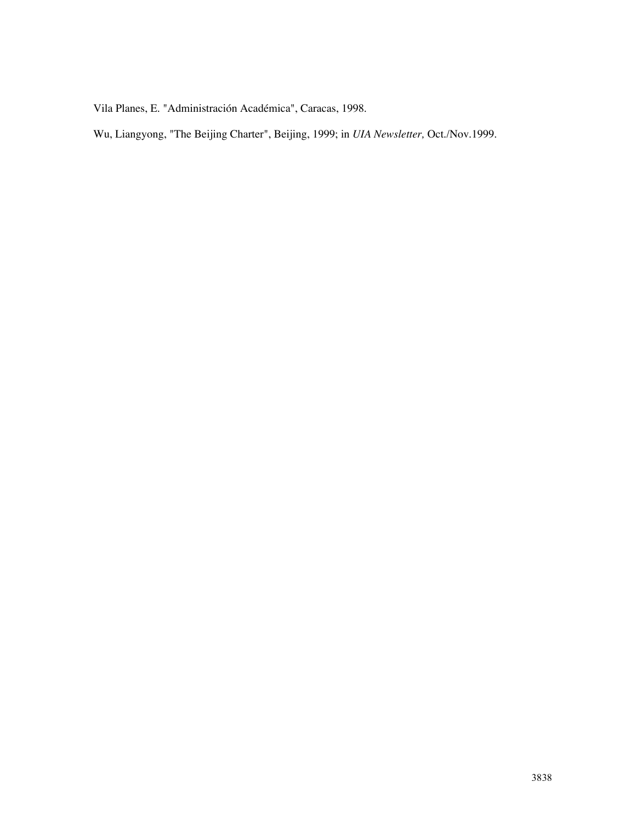Vila Planes, E. "Administración Académica", Caracas, 1998.

Wu, Liangyong, "The Beijing Charter", Beijing, 1999; in *UIA Newsletter,* Oct./Nov.1999.